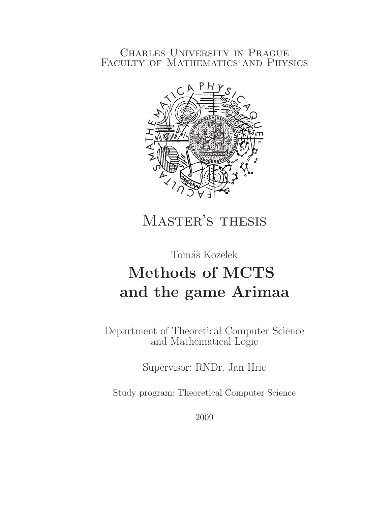## Charles University in Prague Faculty of Mathematics and Physics



## MASTER'S THESIS

## Tomáš Kozelek

## Methods of MCTS and the game Arimaa

Department of Theoretical Computer Science and Mathematical Logic

Supervisor: RNDr. Jan Hric

Study program: Theoretical Computer Science

2009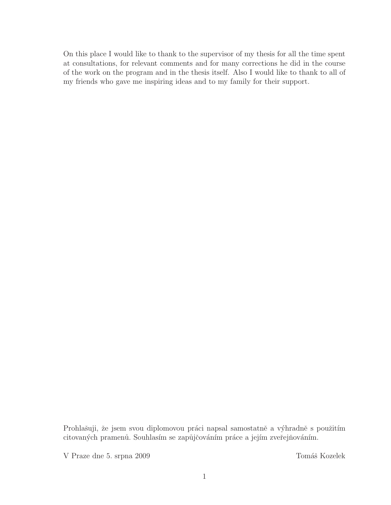On this place I would like to thank to the supervisor of my thesis for all the time spent at consultations, for relevant comments and for many corrections he did in the course of the work on the program and in the thesis itself. Also I would like to thank to all of my friends who gave me inspiring ideas and to my family for their support.

Prohlašuji, že jsem svou diplomovou práci napsal samostatně a výhradně s použitím citovaných pramenů. Souhlasím se zapůjčováním práce a jejím zveřejňováním.

V Praze dne 5. srpna 2009 Tomáš Kozelek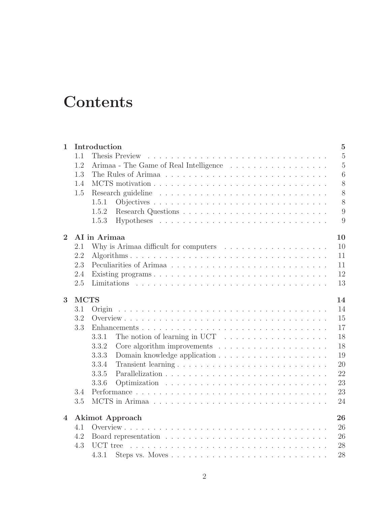## **Contents**

| Introduction<br>$\mathbf{1}$ |                              |                                                                                    |                 |  |  |  |  |  |  |  |
|------------------------------|------------------------------|------------------------------------------------------------------------------------|-----------------|--|--|--|--|--|--|--|
|                              | 1.1                          | $\overline{5}$<br>Thesis Preview                                                   |                 |  |  |  |  |  |  |  |
|                              | 1.2                          |                                                                                    |                 |  |  |  |  |  |  |  |
|                              | 1.3                          |                                                                                    | $6\phantom{.}6$ |  |  |  |  |  |  |  |
|                              | 1.4                          |                                                                                    | 8               |  |  |  |  |  |  |  |
|                              | $1.5\,$                      |                                                                                    | 8               |  |  |  |  |  |  |  |
|                              |                              | 1.5.1                                                                              | 8               |  |  |  |  |  |  |  |
|                              |                              | 1.5.2                                                                              | 9               |  |  |  |  |  |  |  |
|                              |                              | 1.5.3                                                                              | 9               |  |  |  |  |  |  |  |
| $\overline{2}$               |                              | AI in Arimaa<br>10                                                                 |                 |  |  |  |  |  |  |  |
|                              | 2.1                          |                                                                                    | 10              |  |  |  |  |  |  |  |
|                              | 2.2                          |                                                                                    | 11              |  |  |  |  |  |  |  |
|                              | 2.3                          |                                                                                    | 11              |  |  |  |  |  |  |  |
|                              | 2.4                          |                                                                                    | 12              |  |  |  |  |  |  |  |
|                              | 2.5                          |                                                                                    | 13              |  |  |  |  |  |  |  |
| 3                            | <b>MCTS</b><br>14            |                                                                                    |                 |  |  |  |  |  |  |  |
|                              | 3.1                          | Origin                                                                             | 14              |  |  |  |  |  |  |  |
|                              | 3.2                          |                                                                                    | 15              |  |  |  |  |  |  |  |
|                              | 3.3                          | Enhancements                                                                       | 17              |  |  |  |  |  |  |  |
|                              |                              | The notion of learning in UCT $\ldots \ldots \ldots \ldots \ldots \ldots$<br>3.3.1 | 18              |  |  |  |  |  |  |  |
|                              |                              | 3.3.2<br>Core algorithm improvements $\ldots \ldots \ldots \ldots \ldots \ldots$   | 18              |  |  |  |  |  |  |  |
|                              |                              | 3.3.3                                                                              | 19              |  |  |  |  |  |  |  |
|                              |                              | 3.3.4                                                                              | 20              |  |  |  |  |  |  |  |
|                              |                              | 3.3.5                                                                              | 22              |  |  |  |  |  |  |  |
|                              |                              | 3.3.6                                                                              | 23              |  |  |  |  |  |  |  |
|                              | 3.4                          |                                                                                    | 23              |  |  |  |  |  |  |  |
|                              | 3.5                          |                                                                                    | 24              |  |  |  |  |  |  |  |
| 4                            | <b>Akimot</b> Approach<br>26 |                                                                                    |                 |  |  |  |  |  |  |  |
| 4.1                          |                              |                                                                                    |                 |  |  |  |  |  |  |  |
|                              | 4.2                          |                                                                                    | 26<br>26        |  |  |  |  |  |  |  |
|                              | 4.3                          |                                                                                    | 28              |  |  |  |  |  |  |  |
|                              |                              | 4.3.1                                                                              | 28              |  |  |  |  |  |  |  |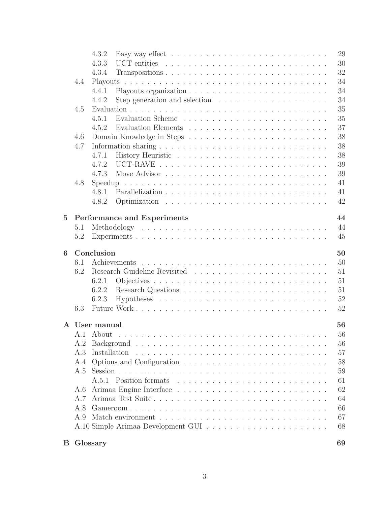|                 |                                   | 4.3.2         | Easy way effect $\dots \dots \dots \dots \dots \dots \dots \dots \dots \dots \dots$ | 29 |  |  |  |  |  |  |
|-----------------|-----------------------------------|---------------|-------------------------------------------------------------------------------------|----|--|--|--|--|--|--|
|                 |                                   | 4.3.3         |                                                                                     | 30 |  |  |  |  |  |  |
|                 |                                   | 4.3.4         |                                                                                     | 32 |  |  |  |  |  |  |
|                 | 4.4                               |               | 34                                                                                  |    |  |  |  |  |  |  |
|                 |                                   | 4.4.1         |                                                                                     | 34 |  |  |  |  |  |  |
|                 |                                   | 4.4.2         | Step generation and selection $\ldots \ldots \ldots \ldots \ldots \ldots$           | 34 |  |  |  |  |  |  |
|                 | 4.5                               |               |                                                                                     | 35 |  |  |  |  |  |  |
|                 |                                   | 4.5.1         |                                                                                     | 35 |  |  |  |  |  |  |
|                 |                                   | 4.5.2         |                                                                                     | 37 |  |  |  |  |  |  |
|                 | 4.6                               |               |                                                                                     | 38 |  |  |  |  |  |  |
|                 | 4.7                               |               | 38                                                                                  |    |  |  |  |  |  |  |
|                 |                                   | 4.7.1         |                                                                                     | 38 |  |  |  |  |  |  |
|                 |                                   | 4.7.2         |                                                                                     | 39 |  |  |  |  |  |  |
|                 |                                   | 4.7.3         |                                                                                     | 39 |  |  |  |  |  |  |
|                 | 4.8                               |               |                                                                                     | 41 |  |  |  |  |  |  |
|                 |                                   | 4.8.1         |                                                                                     | 41 |  |  |  |  |  |  |
|                 |                                   | 4.8.2         |                                                                                     | 42 |  |  |  |  |  |  |
| $5\overline{)}$ | 44<br>Performance and Experiments |               |                                                                                     |    |  |  |  |  |  |  |
|                 | 5.1                               |               |                                                                                     | 44 |  |  |  |  |  |  |
|                 | 5.2                               |               |                                                                                     | 45 |  |  |  |  |  |  |
|                 |                                   |               |                                                                                     |    |  |  |  |  |  |  |
| 6               | Conclusion<br>50                  |               |                                                                                     |    |  |  |  |  |  |  |
|                 | 6.1                               |               |                                                                                     | 50 |  |  |  |  |  |  |
|                 | 6.2                               |               |                                                                                     | 51 |  |  |  |  |  |  |
|                 |                                   | 6.2.1         |                                                                                     | 51 |  |  |  |  |  |  |
|                 |                                   | 6.2.2         |                                                                                     | 51 |  |  |  |  |  |  |
|                 |                                   | 6.2.3         |                                                                                     | 52 |  |  |  |  |  |  |
|                 | 6.3                               |               |                                                                                     | 52 |  |  |  |  |  |  |
|                 |                                   | A User manual |                                                                                     | 56 |  |  |  |  |  |  |
|                 |                                   |               |                                                                                     | 56 |  |  |  |  |  |  |
|                 | A.2                               |               |                                                                                     | 56 |  |  |  |  |  |  |
|                 | A.3                               | Installation  |                                                                                     | 57 |  |  |  |  |  |  |
|                 | A.4                               |               |                                                                                     | 58 |  |  |  |  |  |  |
|                 | A.5                               |               |                                                                                     | 59 |  |  |  |  |  |  |
|                 |                                   |               |                                                                                     | 61 |  |  |  |  |  |  |
|                 | A.6                               |               |                                                                                     | 62 |  |  |  |  |  |  |
|                 | A.7                               |               | Arimaa Test Suite                                                                   | 64 |  |  |  |  |  |  |
|                 | A.8                               |               |                                                                                     | 66 |  |  |  |  |  |  |
|                 | A.9                               |               |                                                                                     | 67 |  |  |  |  |  |  |
|                 |                                   |               |                                                                                     | 68 |  |  |  |  |  |  |
| $\mathbf{B}$    |                                   | Glossary      |                                                                                     | 69 |  |  |  |  |  |  |

|  | Glossary |
|--|----------|
|--|----------|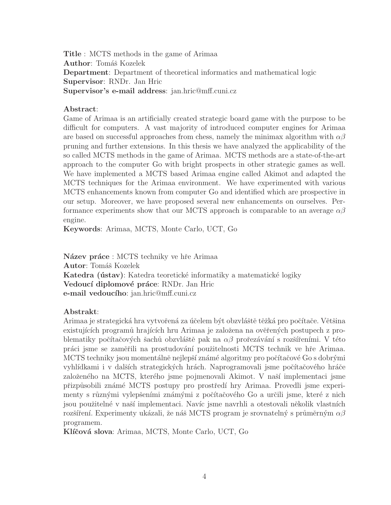Title : MCTS methods in the game of Arimaa Author: Tomáš Kozelek Department: Department of theoretical informatics and mathematical logic Supervisor: RNDr. Jan Hric Supervisor's e-mail address: jan.hric@mff.cuni.cz

#### Abstract:

Game of Arimaa is an artificially created strategic board game with the purpose to be difficult for computers. A vast majority of introduced computer engines for Arimaa are based on successful approaches from chess, namely the minimax algorithm with  $\alpha\beta$ pruning and further extensions. In this thesis we have analyzed the applicability of the so called MCTS methods in the game of Arimaa. MCTS methods are a state-of-the-art approach to the computer Go with bright prospects in other strategic games as well. We have implemented a MCTS based Arimaa engine called Akimot and adapted the MCTS techniques for the Arimaa environment. We have experimented with various MCTS enhancements known from computer Go and identified which are prospective in our setup. Moreover, we have proposed several new enhancements on ourselves. Performance experiments show that our MCTS approach is comparable to an average  $\alpha\beta$ engine.

Keywords: Arimaa, MCTS, Monte Carlo, UCT, Go

Název práce : MCTS techniky ve hře Arimaa Autor: Tomáš Kozelek Katedra (ústav): Katedra teoretické informatiky a matematické logiky Vedoucí diplomové práce: RNDr. Jan Hric e-mail vedoucího: jan.hric@mff.cuni.cz

#### Abstrakt:

Arimaa je strategická hra vytvořená za účelem být obzvláště těžká pro počítače. Většina existujících programů hrajících hru Arimaa je založena na ověřených postupech z problematiky počítačových šachů obzvláště pak na  $\alpha\beta$  prořezávání s rozšířeními. V této práci jsme se zaměřili na prostudování použitelnosti MCTS technik ve hře Arimaa. MCTS techniky jsou momentálně nejlepší známé algoritmy pro počítačové Go s dobrými vyhlídkami i v dalších strategických hrách. Naprogramovali jsme počítačového hráče založeného na MCTS, kterého jsme pojmenovali Akimot. V naší implementaci jsme přizpůsobili známé MCTS postupy pro prostředí hry Arimaa. Provedli jsme experimenty s různými vylepšeními známými z počítačového Go a určili jsme, které z nich jsou použitelné v naší implementaci. Navíc jsme navrhli a otestovali několik vlastních rozšíření. Experimenty ukázali, že náš MCTS program je srovnatelný s průměrným  $\alpha\beta$ programem.

Klíčová slova: Arimaa, MCTS, Monte Carlo, UCT, Go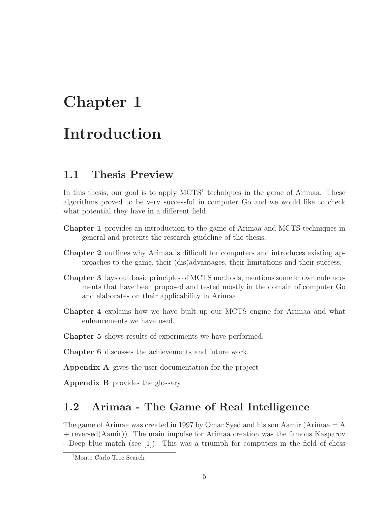# Chapter 1 Introduction

## 1.1 Thesis Preview

In this thesis, our goal is to apply  $MCTS<sup>1</sup>$  techniques in the game of Arimaa. These algorithms proved to be very successful in computer Go and we would like to check what potential they have in a different field.

- Chapter 1 provides an introduction to the game of Arimaa and MCTS techniques in general and presents the research guideline of the thesis.
- Chapter 2 outlines why Arimaa is difficult for computers and introduces existing approaches to the game, their (dis)advantages, their limitations and their success.
- Chapter 3 lays out basic principles of MCTS methods, mentions some known enhancements that have been proposed and tested mostly in the domain of computer Go and elaborates on their applicability in Arimaa.
- Chapter 4 explains how we have built up our MCTS engine for Arimaa and what enhancements we have used.
- Chapter 5 shows results of experiments we have performed.
- Chapter 6 discusses the achievements and future work.
- Appendix A gives the user documentation for the project
- Appendix B provides the glossary

## 1.2 Arimaa - The Game of Real Intelligence

The game of Arimaa was created in 1997 by Omar Syed and his son Aamir (Arimaa = A + reversed(Aamir)). The main impulse for Arimaa creation was the famous Kasparov - Deep blue match (see [1]). This was a triumph for computers in the field of chess

<sup>1</sup>Monte Carlo Tree Search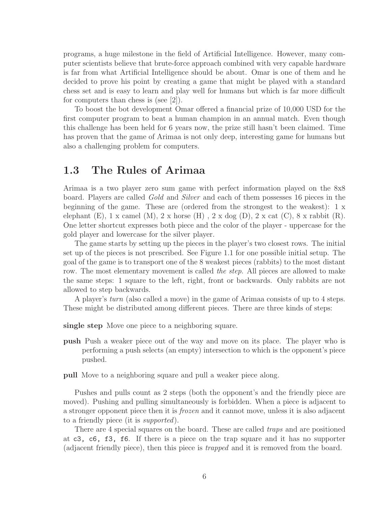programs, a huge milestone in the field of Artificial Intelligence. However, many computer scientists believe that brute-force approach combined with very capable hardware is far from what Artificial Intelligence should be about. Omar is one of them and he decided to prove his point by creating a game that might be played with a standard chess set and is easy to learn and play well for humans but which is far more difficult for computers than chess is (see [2]).

To boost the bot development Omar offered a financial prize of 10,000 USD for the first computer program to beat a human champion in an annual match. Even though this challenge has been held for 6 years now, the prize still hasn't been claimed. Time has proven that the game of Arimaa is not only deep, interesting game for humans but also a challenging problem for computers.

## 1.3 The Rules of Arimaa

Arimaa is a two player zero sum game with perfect information played on the 8x8 board. Players are called *Gold* and *Silver* and each of them possesses 16 pieces in the beginning of the game. These are (ordered from the strongest to the weakest): 1 x elephant (E),  $1 \times \text{camel } (M)$ ,  $2 \times \text{horse } (H)$ ,  $2 \times \text{dog } (D)$ ,  $2 \times \text{cat } (C)$ ,  $8 \times \text{rabbit } (R)$ . One letter shortcut expresses both piece and the color of the player - uppercase for the gold player and lowercase for the silver player.

The game starts by setting up the pieces in the player's two closest rows. The initial set up of the pieces is not prescribed. See Figure 1.1 for one possible initial setup. The goal of the game is to transport one of the 8 weakest pieces (rabbits) to the most distant row. The most elementary movement is called *the step*. All pieces are allowed to make the same steps: 1 square to the left, right, front or backwards. Only rabbits are not allowed to step backwards.

A player's *turn* (also called a move) in the game of Arimaa consists of up to 4 steps. These might be distributed among different pieces. There are three kinds of steps:

single step Move one piece to a neighboring square.

- push Push a weaker piece out of the way and move on its place. The player who is performing a push selects (an empty) intersection to which is the opponent's piece pushed.
- pull Move to a neighboring square and pull a weaker piece along.

Pushes and pulls count as 2 steps (both the opponent's and the friendly piece are moved). Pushing and pulling simultaneously is forbidden. When a piece is adjacent to a stronger opponent piece then it is *frozen* and it cannot move, unless it is also adjacent to a friendly piece (it is *supported*).

There are 4 special squares on the board. These are called *traps* and are positioned at c3, c6, f3, f6. If there is a piece on the trap square and it has no supporter (adjacent friendly piece), then this piece is *trapped* and it is removed from the board.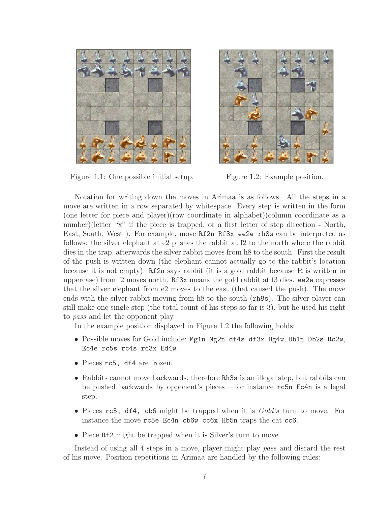

Figure 1.1: One possible initial setup. Figure 1.2: Example position.



Notation for writing down the moves in Arimaa is as follows. All the steps in a move are written in a row separated by whitespace. Every step is written in the form (one letter for piece and player)(row coordinate in alphabet)(column coordinate as a number)(letter "x" if the piece is trapped, or a first letter of step direction - North, East, South, West ). For example, move Rf2n Rf3x ee2e rh8s can be interpreted as follows: the silver elephant at e2 pushes the rabbit at f2 to the north where the rabbit dies in the trap, afterwards the silver rabbit moves from h8 to the south. First the result of the push is written down (the elephant cannot actually go to the rabbit's location because it is not empty). Rf2n says rabbit (it is a gold rabbit because R is written in uppercase) from f2 moves north. Rf3x means the gold rabbit at f3 dies. ee2e expresses that the silver elephant from e2 moves to the east (that caused the push). The move ends with the silver rabbit moving from h8 to the south (rh8s). The silver player can still make one single step (the total count of his steps so far is 3), but he used his right to *pass* and let the opponent play.

In the example position displayed in Figure 1.2 the following holds:

- Possible moves for Gold include: Mg1n Mg2n df4s df3x Hg4w, Db1n Db2s Rc2w, Ec4e rc5s rc4s rc3x Ed4w.
- Pieces rc5, df4 are frozen.
- Rabbits cannot move backwards, therefore Rh3s is an illegal step, but rabbits can be pushed backwards by opponent's pieces – for instance rc5n Ec4n is a legal step.
- Pieces rc5, df4, cb6 might be trapped when it is *Gold's* turn to move. For instance the move rc5e Ec4n cb6w cc6x Hb5n traps the cat cc6.
- Piece Rf2 might be trapped when it is Silver's turn to move.

Instead of using all 4 steps in a move, player might play *pass* and discard the rest of his move. Position repetitions in Arimaa are handled by the following rules: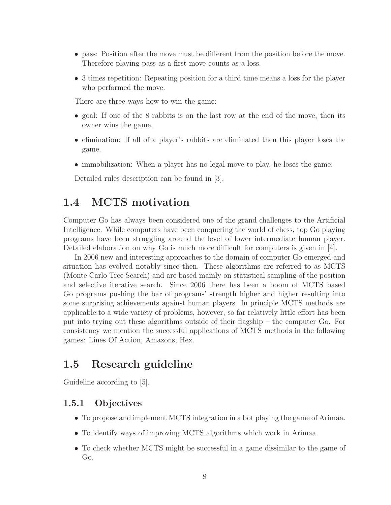- pass: Position after the move must be different from the position before the move. Therefore playing pass as a first move counts as a loss.
- 3 times repetition: Repeating position for a third time means a loss for the player who performed the move.

There are three ways how to win the game:

- goal: If one of the 8 rabbits is on the last row at the end of the move, then its owner wins the game.
- elimination: If all of a player's rabbits are eliminated then this player loses the game.
- immobilization: When a player has no legal move to play, he loses the game.

Detailed rules description can be found in [3].

## 1.4 MCTS motivation

Computer Go has always been considered one of the grand challenges to the Artificial Intelligence. While computers have been conquering the world of chess, top Go playing programs have been struggling around the level of lower intermediate human player. Detailed elaboration on why Go is much more difficult for computers is given in [4].

In 2006 new and interesting approaches to the domain of computer Go emerged and situation has evolved notably since then. These algorithms are referred to as MCTS (Monte Carlo Tree Search) and are based mainly on statistical sampling of the position and selective iterative search. Since 2006 there has been a boom of MCTS based Go programs pushing the bar of programs' strength higher and higher resulting into some surprising achievements against human players. In principle MCTS methods are applicable to a wide variety of problems, however, so far relatively little effort has been put into trying out these algorithms outside of their flagship – the computer Go. For consistency we mention the successful applications of MCTS methods in the following games: Lines Of Action, Amazons, Hex.

## 1.5 Research guideline

Guideline according to [5].

## 1.5.1 Objectives

- To propose and implement MCTS integration in a bot playing the game of Arimaa.
- To identify ways of improving MCTS algorithms which work in Arimaa.
- To check whether MCTS might be successful in a game dissimilar to the game of Go.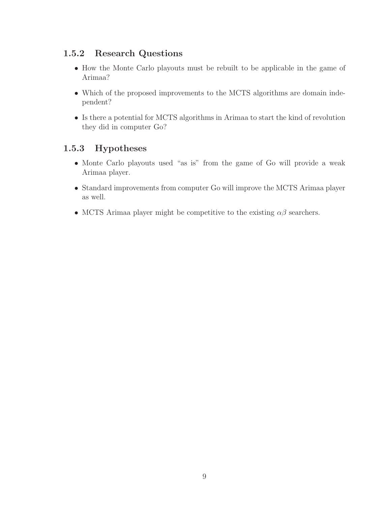## 1.5.2 Research Questions

- How the Monte Carlo playouts must be rebuilt to be applicable in the game of Arimaa?
- Which of the proposed improvements to the MCTS algorithms are domain independent?
- Is there a potential for MCTS algorithms in Arimaa to start the kind of revolution they did in computer Go?

## 1.5.3 Hypotheses

- Monte Carlo playouts used "as is" from the game of Go will provide a weak Arimaa player.
- Standard improvements from computer Go will improve the MCTS Arimaa player as well.
- MCTS Arimaa player might be competitive to the existing  $\alpha\beta$  searchers.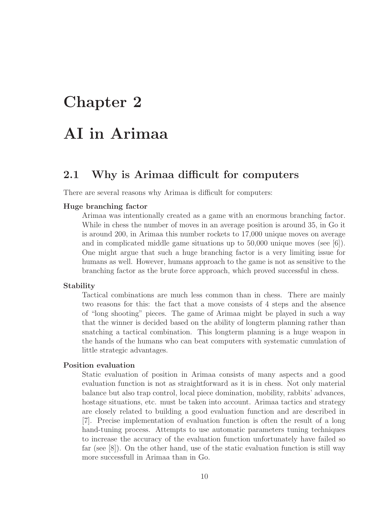## Chapter 2

## AI in Arimaa

## 2.1 Why is Arimaa difficult for computers

There are several reasons why Arimaa is difficult for computers:

#### Huge branching factor

Arimaa was intentionally created as a game with an enormous branching factor. While in chess the number of moves in an average position is around 35, in Go it is around 200, in Arimaa this number rockets to 17,000 unique moves on average and in complicated middle game situations up to 50,000 unique moves (see [6]). One might argue that such a huge branching factor is a very limiting issue for humans as well. However, humans approach to the game is not as sensitive to the branching factor as the brute force approach, which proved successful in chess.

#### Stability

Tactical combinations are much less common than in chess. There are mainly two reasons for this: the fact that a move consists of 4 steps and the absence of "long shooting" pieces. The game of Arimaa might be played in such a way that the winner is decided based on the ability of longterm planning rather than snatching a tactical combination. This longterm planning is a huge weapon in the hands of the humans who can beat computers with systematic cumulation of little strategic advantages.

#### Position evaluation

Static evaluation of position in Arimaa consists of many aspects and a good evaluation function is not as straightforward as it is in chess. Not only material balance but also trap control, local piece domination, mobility, rabbits' advances, hostage situations, etc. must be taken into account. Arimaa tactics and strategy are closely related to building a good evaluation function and are described in [7]. Precise implementation of evaluation function is often the result of a long hand-tuning process. Attempts to use automatic parameters tuning techniques to increase the accuracy of the evaluation function unfortunately have failed so far (see [8]). On the other hand, use of the static evaluation function is still way more successfull in Arimaa than in Go.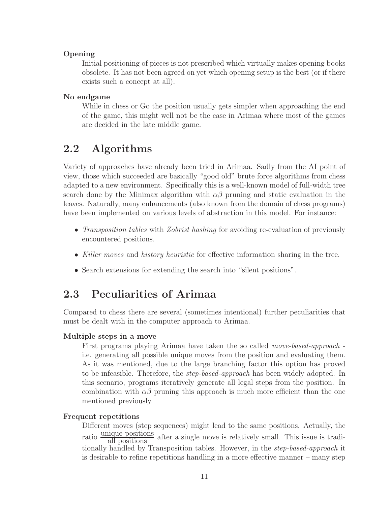### Opening

Initial positioning of pieces is not prescribed which virtually makes opening books obsolete. It has not been agreed on yet which opening setup is the best (or if there exists such a concept at all).

## No endgame

While in chess or Go the position usually gets simpler when approaching the end of the game, this might well not be the case in Arimaa where most of the games are decided in the late middle game.

## 2.2 Algorithms

Variety of approaches have already been tried in Arimaa. Sadly from the AI point of view, those which succeeded are basically "good old" brute force algorithms from chess adapted to a new environment. Specifically this is a well-known model of full-width tree search done by the Minimax algorithm with  $\alpha\beta$  pruning and static evaluation in the leaves. Naturally, many enhancements (also known from the domain of chess programs) have been implemented on various levels of abstraction in this model. For instance:

- *Transposition tables* with *Zobrist hashing* for avoiding re-evaluation of previously encountered positions.
- *Killer moves* and *history heuristic* for effective information sharing in the tree.
- Search extensions for extending the search into "silent positions".

## 2.3 Peculiarities of Arimaa

Compared to chess there are several (sometimes intentional) further peculiarities that must be dealt with in the computer approach to Arimaa.

### Multiple steps in a move

First programs playing Arimaa have taken the so called *move-based-approach* i.e. generating all possible unique moves from the position and evaluating them. As it was mentioned, due to the large branching factor this option has proved to be infeasible. Therefore, the *step-based-approach* has been widely adopted. In this scenario, programs iteratively generate all legal steps from the position. In combination with  $\alpha\beta$  pruning this approach is much more efficient than the one mentioned previously.

### Frequent repetitions

Different moves (step sequences) might lead to the same positions. Actually, the ratio  $\frac{\text{unique positions}}{\text{all positions}}$  after a single move is relatively small. This issue is traditionally handled by Transposition tables. However, in the *step-based-approach* it is desirable to refine repetitions handling in a more effective manner – many step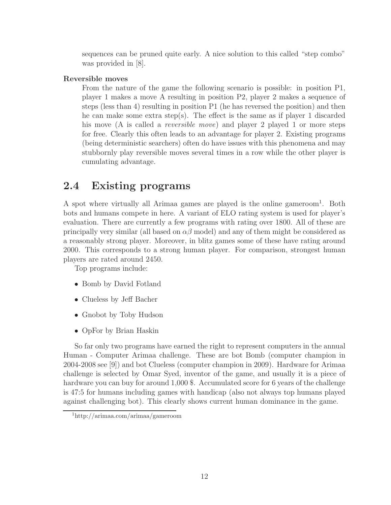sequences can be pruned quite early. A nice solution to this called "step combo" was provided in [8].

### Reversible moves

From the nature of the game the following scenario is possible: in position P1, player 1 makes a move A resulting in position P2, player 2 makes a sequence of steps (less than 4) resulting in position P1 (he has reversed the position) and then he can make some extra step(s). The effect is the same as if player 1 discarded his move (A is called a *reversible move*) and player 2 played 1 or more steps for free. Clearly this often leads to an advantage for player 2. Existing programs (being deterministic searchers) often do have issues with this phenomena and may stubbornly play reversible moves several times in a row while the other player is cumulating advantage.

## 2.4 Existing programs

A spot where virtually all Arimaa games are played is the online gameroom<sup>1</sup>. Both bots and humans compete in here. A variant of ELO rating system is used for player's evaluation. There are currently a few programs with rating over 1800. All of these are principally very similar (all based on  $\alpha\beta$  model) and any of them might be considered as a reasonably strong player. Moreover, in blitz games some of these have rating around 2000. This corresponds to a strong human player. For comparison, strongest human players are rated around 2450.

Top programs include:

- Bomb by David Fotland
- Clueless by Jeff Bacher
- Gnobot by Toby Hudson
- OpFor by Brian Haskin

So far only two programs have earned the right to represent computers in the annual Human - Computer Arimaa challenge. These are bot Bomb (computer champion in 2004-2008 see [9]) and bot Clueless (computer champion in 2009). Hardware for Arimaa challenge is selected by Omar Syed, inventor of the game, and usually it is a piece of hardware you can buy for around 1,000 \$. Accumulated score for 6 years of the challenge is 47:5 for humans including games with handicap (also not always top humans played against challenging bot). This clearly shows current human dominance in the game.

<sup>1</sup>http://arimaa.com/arimaa/gameroom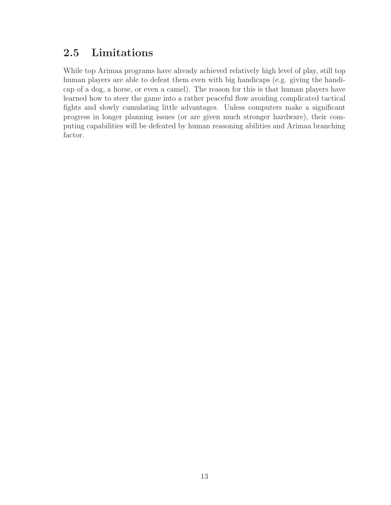## 2.5 Limitations

While top Arimaa programs have already achieved relatively high level of play, still top human players are able to defeat them even with big handicaps (e.g. giving the handicap of a dog, a horse, or even a camel). The reason for this is that human players have learned how to steer the game into a rather peaceful flow avoiding complicated tactical fights and slowly cumulating little advantages. Unless computers make a significant progress in longer planning issues (or are given much stronger hardware), their computing capabilities will be defeated by human reasoning abilities and Arimaa branching factor.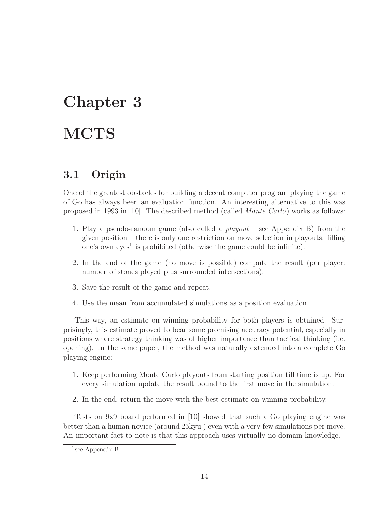# Chapter 3 **MCTS**

## 3.1 Origin

One of the greatest obstacles for building a decent computer program playing the game of Go has always been an evaluation function. An interesting alternative to this was proposed in 1993 in [10]. The described method (called *Monte Carlo*) works as follows:

- 1. Play a pseudo-random game (also called a *playout* see Appendix B) from the given position – there is only one restriction on move selection in playouts: filling one's own eyes<sup>1</sup> is prohibited (otherwise the game could be infinite).
- 2. In the end of the game (no move is possible) compute the result (per player: number of stones played plus surrounded intersections).
- 3. Save the result of the game and repeat.
- 4. Use the mean from accumulated simulations as a position evaluation.

This way, an estimate on winning probability for both players is obtained. Surprisingly, this estimate proved to bear some promising accuracy potential, especially in positions where strategy thinking was of higher importance than tactical thinking (i.e. opening). In the same paper, the method was naturally extended into a complete Go playing engine:

- 1. Keep performing Monte Carlo playouts from starting position till time is up. For every simulation update the result bound to the first move in the simulation.
- 2. In the end, return the move with the best estimate on winning probability.

Tests on 9x9 board performed in [10] showed that such a Go playing engine was better than a human novice (around 25kyu ) even with a very few simulations per move. An important fact to note is that this approach uses virtually no domain knowledge.

<sup>1</sup> see Appendix B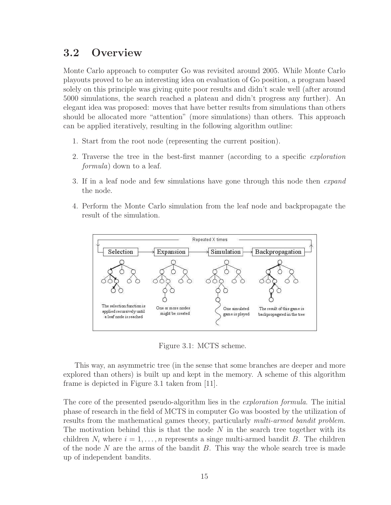## 3.2 Overview

Monte Carlo approach to computer Go was revisited around 2005. While Monte Carlo playouts proved to be an interesting idea on evaluation of Go position, a program based solely on this principle was giving quite poor results and didn't scale well (after around 5000 simulations, the search reached a plateau and didn't progress any further). An elegant idea was proposed: moves that have better results from simulations than others should be allocated more "attention" (more simulations) than others. This approach can be applied iteratively, resulting in the following algorithm outline:

- 1. Start from the root node (representing the current position).
- 2. Traverse the tree in the best-first manner (according to a specific *exploration formula*) down to a leaf.
- 3. If in a leaf node and few simulations have gone through this node then *expand* the node.
- 4. Perform the Monte Carlo simulation from the leaf node and backpropagate the result of the simulation.



Figure 3.1: MCTS scheme.

This way, an asymmetric tree (in the sense that some branches are deeper and more explored than others) is built up and kept in the memory. A scheme of this algorithm frame is depicted in Figure 3.1 taken from [11].

The core of the presented pseudo-algorithm lies in the *exploration formula*. The initial phase of research in the field of MCTS in computer Go was boosted by the utilization of results from the mathematical games theory, particularly *multi-armed bandit problem*. The motivation behind this is that the node  $N$  in the search tree together with its children  $N_i$  where  $i = 1, \ldots, n$  represents a singe multi-armed bandit B. The children of the node  $N$  are the arms of the bandit  $B$ . This way the whole search tree is made up of independent bandits.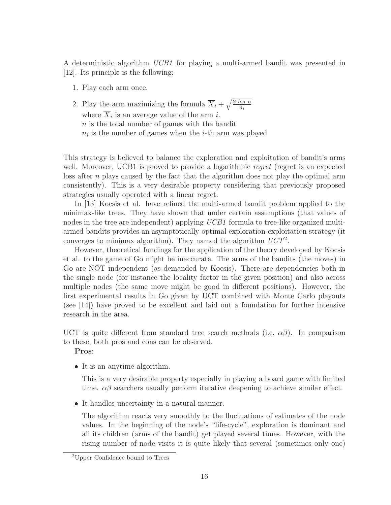A deterministic algorithm *UCB1* for playing a multi-armed bandit was presented in [12]. Its principle is the following:

- 1. Play each arm once.
- 2. Play the arm maximizing the formula  $\overline{X}_i + \sqrt{\frac{2 \log n}{n_i}}$ where  $X_i$  is an average value of the arm *i*. n is the total number of games with the bandit  $n_i$  is the number of games when the *i*-th arm was played

This strategy is believed to balance the exploration and exploitation of bandit's arms well. Moreover, UCB1 is proved to provide a logarithmic *regret* (regret is an expected loss after  $n$  plays caused by the fact that the algorithm does not play the optimal arm consistently). This is a very desirable property considering that previously proposed strategies usually operated with a linear regret.

In [13] Kocsis et al. have refined the multi-armed bandit problem applied to the minimax-like trees. They have shown that under certain assumptions (that values of nodes in the tree are independent) applying *UCB1* formula to tree-like organized multiarmed bandits provides an asymptotically optimal exploration-exploitation strategy (it converges to minimax algorithm). They named the algorithm *UCT*<sup>2</sup> .

However, theoretical fundings for the application of the theory developed by Kocsis et al. to the game of Go might be inaccurate. The arms of the bandits (the moves) in Go are NOT independent (as demanded by Kocsis). There are dependencies both in the single node (for instance the locality factor in the given position) and also across multiple nodes (the same move might be good in different positions). However, the first experimental results in Go given by UCT combined with Monte Carlo playouts (see [14]) have proved to be excellent and laid out a foundation for further intensive research in the area.

UCT is quite different from standard tree search methods (i.e.  $\alpha\beta$ ). In comparison to these, both pros and cons can be observed.

Pros:

• It is an anytime algorithm.

This is a very desirable property especially in playing a board game with limited time.  $\alpha\beta$  searchers usually perform iterative deepening to achieve similar effect.

• It handles uncertainty in a natural manner.

The algorithm reacts very smoothly to the fluctuations of estimates of the node values. In the beginning of the node's "life-cycle", exploration is dominant and all its children (arms of the bandit) get played several times. However, with the rising number of node visits it is quite likely that several (sometimes only one)

<sup>2</sup>Upper Confidence bound to Trees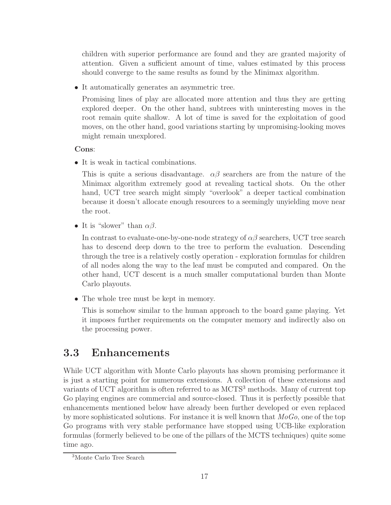children with superior performance are found and they are granted majority of attention. Given a sufficient amount of time, values estimated by this process should converge to the same results as found by the Minimax algorithm.

• It automatically generates an asymmetric tree.

Promising lines of play are allocated more attention and thus they are getting explored deeper. On the other hand, subtrees with uninteresting moves in the root remain quite shallow. A lot of time is saved for the exploitation of good moves, on the other hand, good variations starting by unpromising-looking moves might remain unexplored.

Cons:

• It is weak in tactical combinations.

This is quite a serious disadvantage.  $\alpha\beta$  searchers are from the nature of the Minimax algorithm extremely good at revealing tactical shots. On the other hand, UCT tree search might simply "overlook" a deeper tactical combination because it doesn't allocate enough resources to a seemingly unyielding move near the root.

• It is "slower" than  $\alpha\beta$ .

In contrast to evaluate-one-by-one-node strategy of  $\alpha\beta$  searchers, UCT tree search has to descend deep down to the tree to perform the evaluation. Descending through the tree is a relatively costly operation - exploration formulas for children of all nodes along the way to the leaf must be computed and compared. On the other hand, UCT descent is a much smaller computational burden than Monte Carlo playouts.

• The whole tree must be kept in memory.

This is somehow similar to the human approach to the board game playing. Yet it imposes further requirements on the computer memory and indirectly also on the processing power.

## 3.3 Enhancements

While UCT algorithm with Monte Carlo playouts has shown promising performance it is just a starting point for numerous extensions. A collection of these extensions and variants of UCT algorithm is often referred to as MCTS<sup>3</sup> methods. Many of current top Go playing engines are commercial and source-closed. Thus it is perfectly possible that enhancements mentioned below have already been further developed or even replaced by more sophisticated solutions. For instance it is well known that *MoGo*, one of the top Go programs with very stable performance have stopped using UCB-like exploration formulas (formerly believed to be one of the pillars of the MCTS techniques) quite some time ago.

<sup>3</sup>Monte Carlo Tree Search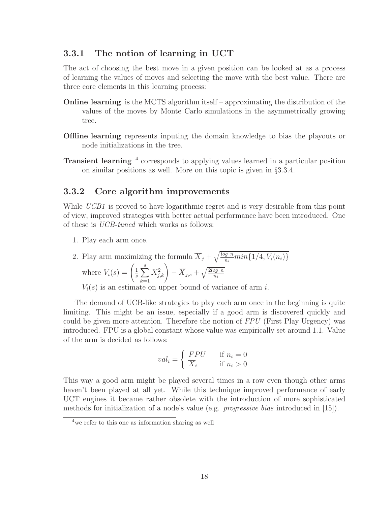## 3.3.1 The notion of learning in UCT

The act of choosing the best move in a given position can be looked at as a process of learning the values of moves and selecting the move with the best value. There are three core elements in this learning process:

- Online learning is the MCTS algorithm itself approximating the distribution of the values of the moves by Monte Carlo simulations in the asymmetrically growing tree.
- Offline learning represents inputing the domain knowledge to bias the playouts or node initializations in the tree.
- Transient learning <sup>4</sup> corresponds to applying values learned in a particular position on similar positions as well. More on this topic is given in §3.3.4.

## 3.3.2 Core algorithm improvements

While *UCB1* is proved to have logarithmic regret and is very desirable from this point of view, improved strategies with better actual performance have been introduced. One of these is *UCB-tuned* which works as follows:

1. Play each arm once.

2. Play arm maximizing the formula 
$$
\overline{X}_j + \sqrt{\frac{\log n}{n_i} \min\{1/4, V_i(n_i)\}}
$$
where  $V_i(s) = \left(\frac{1}{s} \sum_{k=1}^s X_{j,k}^2\right) - \overline{X}_{j,s} + \sqrt{\frac{2\log n}{n_i}}$ 
$$
V_i(s)
$$
 is an estimate on upper bound of variance of arm *i*.

The demand of UCB-like strategies to play each arm once in the beginning is quite limiting. This might be an issue, especially if a good arm is discovered quickly and could be given more attention. Therefore the notion of *FPU* (First Play Urgency) was introduced. FPU is a global constant whose value was empirically set around 1.1. Value of the arm is decided as follows:

$$
val_i = \begin{cases} FPU & \text{if } n_i = 0\\ \overline{X}_i & \text{if } n_i > 0 \end{cases}
$$

This way a good arm might be played several times in a row even though other arms haven't been played at all yet. While this technique improved performance of early UCT engines it became rather obsolete with the introduction of more sophisticated methods for initialization of a node's value (e.g. *progressive bias* introduced in [15]).

<sup>4</sup>we refer to this one as information sharing as well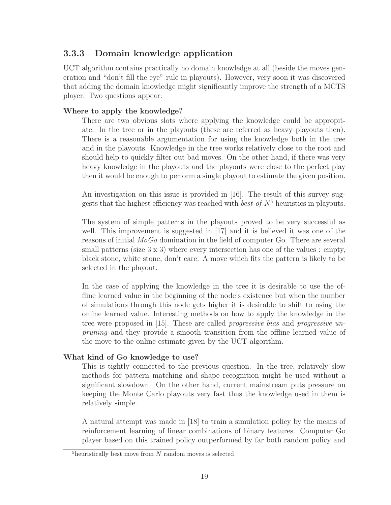## 3.3.3 Domain knowledge application

UCT algorithm contains practically no domain knowledge at all (beside the moves generation and "don't fill the eye" rule in playouts). However, very soon it was discovered that adding the domain knowledge might significantly improve the strength of a MCTS player. Two questions appear:

## Where to apply the knowledge?

There are two obvious slots where applying the knowledge could be appropriate. In the tree or in the playouts (these are referred as heavy playouts then). There is a reasonable argumentation for using the knowledge both in the tree and in the playouts. Knowledge in the tree works relatively close to the root and should help to quickly filter out bad moves. On the other hand, if there was very heavy knowledge in the playouts and the playouts were close to the perfect play then it would be enough to perform a single playout to estimate the given position.

An investigation on this issue is provided in [16]. The result of this survey suggests that the highest efficiency was reached with  $best-of-N<sup>5</sup>$  heuristics in playouts.

The system of simple patterns in the playouts proved to be very successful as well. This improvement is suggested in [17] and it is believed it was one of the reasons of initial *MoGo* domination in the field of computer Go. There are several small patterns (size  $3 \times 3$ ) where every intersection has one of the values : empty, black stone, white stone, don't care. A move which fits the pattern is likely to be selected in the playout.

In the case of applying the knowledge in the tree it is desirable to use the offline learned value in the beginning of the node's existence but when the number of simulations through this node gets higher it is desirable to shift to using the online learned value. Interesting methods on how to apply the knowledge in the tree were proposed in [15]. These are called *progressive bias* and *progressive unpruning* and they provide a smooth transition from the offline learned value of the move to the online estimate given by the UCT algorithm.

## What kind of Go knowledge to use?

This is tightly connected to the previous question. In the tree, relatively slow methods for pattern matching and shape recognition might be used without a significant slowdown. On the other hand, current mainstream puts pressure on keeping the Monte Carlo playouts very fast thus the knowledge used in them is relatively simple.

A natural attempt was made in [18] to train a simulation policy by the means of reinforcement learning of linear combinations of binary features. Computer Go player based on this trained policy outperformed by far both random policy and

 $5$ heuristically best move from  $N$  random moves is selected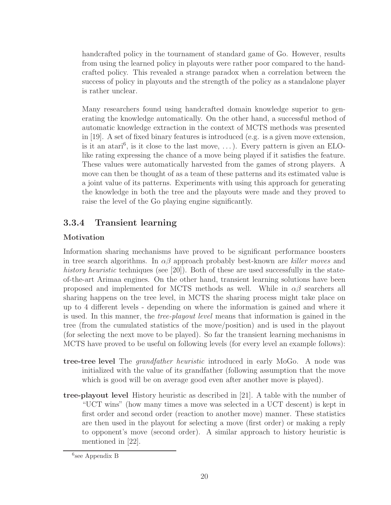handcrafted policy in the tournament of standard game of Go. However, results from using the learned policy in playouts were rather poor compared to the handcrafted policy. This revealed a strange paradox when a correlation between the success of policy in playouts and the strength of the policy as a standalone player is rather unclear.

Many researchers found using handcrafted domain knowledge superior to generating the knowledge automatically. On the other hand, a successful method of automatic knowledge extraction in the context of MCTS methods was presented in [19]. A set of fixed binary features is introduced (e.g. is a given move extension, is it an atari<sup>6</sup>, is it close to the last move, ...). Every pattern is given an ELOlike rating expressing the chance of a move being played if it satisfies the feature. These values were automatically harvested from the games of strong players. A move can then be thought of as a team of these patterns and its estimated value is a joint value of its patterns. Experiments with using this approach for generating the knowledge in both the tree and the playouts were made and they proved to raise the level of the Go playing engine significantly.

## 3.3.4 Transient learning

## Motivation

Information sharing mechanisms have proved to be significant performance boosters in tree search algorithms. In  $\alpha\beta$  approach probably best-known are *killer moves* and *history heuristic* techniques (see [20]). Both of these are used successfully in the stateof-the-art Arimaa engines. On the other hand, transient learning solutions have been proposed and implemented for MCTS methods as well. While in  $\alpha\beta$  searchers all sharing happens on the tree level, in MCTS the sharing process might take place on up to 4 different levels - depending on where the information is gained and where it is used. In this manner, the *tree-playout level* means that information is gained in the tree (from the cumulated statistics of the move/position) and is used in the playout (for selecting the next move to be played). So far the transient learning mechanisms in MCTS have proved to be useful on following levels (for every level an example follows):

- tree-tree level The *grandfather heuristic* introduced in early MoGo. A node was initialized with the value of its grandfather (following assumption that the move which is good will be on average good even after another move is played).
- tree-playout level History heuristic as described in [21]. A table with the number of "UCT wins" (how many times a move was selected in a UCT descent) is kept in first order and second order (reaction to another move) manner. These statistics are then used in the playout for selecting a move (first order) or making a reply to opponent's move (second order). A similar approach to history heuristic is mentioned in [22].

<sup>6</sup> see Appendix B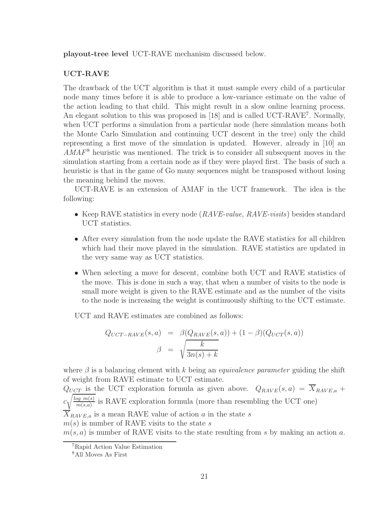playout-tree level UCT-RAVE mechanism discussed below.

## UCT-RAVE

The drawback of the UCT algorithm is that it must sample every child of a particular node many times before it is able to produce a low-variance estimate on the value of the action leading to that child. This might result in a slow online learning process. An elegant solution to this was proposed in [18] and is called UCT-RAVE<sup>7</sup>. Normally, when UCT performs a simulation from a particular node (here simulation means both the Monte Carlo Simulation and continuing UCT descent in the tree) only the child representing a first move of the simulation is updated. However, already in [10] an *AMAF*<sup>8</sup> heuristic was mentioned. The trick is to consider all subsequent moves in the simulation starting from a certain node as if they were played first. The basis of such a heuristic is that in the game of Go many sequences might be transposed without losing the meaning behind the moves.

UCT-RAVE is an extension of AMAF in the UCT framework. The idea is the following:

- Keep RAVE statistics in every node (*RAVE-value*, *RAVE-visits*) besides standard UCT statistics.
- After every simulation from the node update the RAVE statistics for all children which had their move played in the simulation. RAVE statistics are updated in the very same way as UCT statistics.
- When selecting a move for descent, combine both UCT and RAVE statistics of the move. This is done in such a way, that when a number of visits to the node is small more weight is given to the RAVE estimate and as the number of the visits to the node is increasing the weight is continuously shifting to the UCT estimate.

UCT and RAVE estimates are combined as follows:

$$
Q_{UCT-RAVE}(s, a) = \beta(Q_{RAVE}(s, a)) + (1 - \beta)(Q_{UCT}(s, a))
$$

$$
\beta = \sqrt{\frac{k}{3n(s) + k}}
$$

where  $\beta$  is a balancing element with k being an *equivalence parameter* guiding the shift of weight from RAVE estimate to UCT estimate.

 $Q_{UCT}$  is the UCT exploration formula as given above.  $Q_{RAVE}(s, a) = \overline{X}_{RAVE,a} +$  $c\sqrt{\frac{\log m(s)}{m(s,a)}}$  $\frac{\log m(s)}{m(s,a)}$  is RAVE exploration formula (more than resembling the UCT one)  $\overline{X}_{RAVE,a}$  is a mean RAVE value of action a in the state s

 $m(s)$  is number of RAVE visits to the state s

 $m(s, a)$  is number of RAVE visits to the state resulting from s by making an action a.

<sup>7</sup>Rapid Action Value Estimation

<sup>8</sup>All Moves As First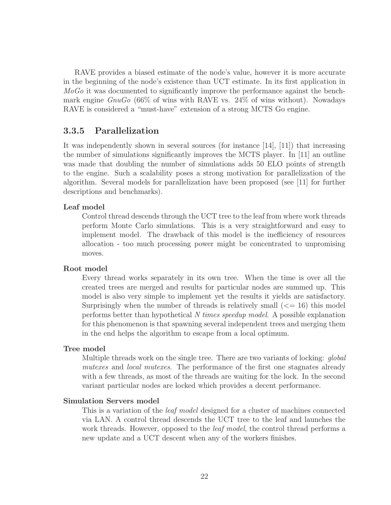RAVE provides a biased estimate of the node's value, however it is more accurate in the beginning of the node's existence than UCT estimate. In its first application in *MoGo* it was documented to significantly improve the performance against the benchmark engine *GnuGo* (66% of wins with RAVE vs. 24% of wins without). Nowadays RAVE is considered a "must-have" extension of a strong MCTS Go engine.

## 3.3.5 Parallelization

It was independently shown in several sources (for instance [14], [11]) that increasing the number of simulations significantly improves the MCTS player. In [11] an outline was made that doubling the number of simulations adds 50 ELO points of strength to the engine. Such a scalability poses a strong motivation for parallelization of the algorithm. Several models for parallelization have been proposed (see [11] for further descriptions and benchmarks).

#### Leaf model

Control thread descends through the UCT tree to the leaf from where work threads perform Monte Carlo simulations. This is a very straightforward and easy to implement model. The drawback of this model is the inefficiency of resources allocation - too much processing power might be concentrated to unpromising moves.

#### Root model

Every thread works separately in its own tree. When the time is over all the created trees are merged and results for particular nodes are summed up. This model is also very simple to implement yet the results it yields are satisfactory. Surprisingly when the number of threads is relatively small  $\ll$  = 16) this model performs better than hypothetical *N times speedup model*. A possible explanation for this phenomenon is that spawning several independent trees and merging them in the end helps the algorithm to escape from a local optimum.

#### Tree model

Multiple threads work on the single tree. There are two variants of locking: *global mutexes* and *local mutexes*. The performance of the first one stagnates already with a few threads, as most of the threads are waiting for the lock. In the second variant particular nodes are locked which provides a decent performance.

#### Simulation Servers model

This is a variation of the *leaf model* designed for a cluster of machines connected via LAN. A control thread descends the UCT tree to the leaf and launches the work threads. However, opposed to the *leaf model*, the control thread performs a new update and a UCT descent when any of the workers finishes.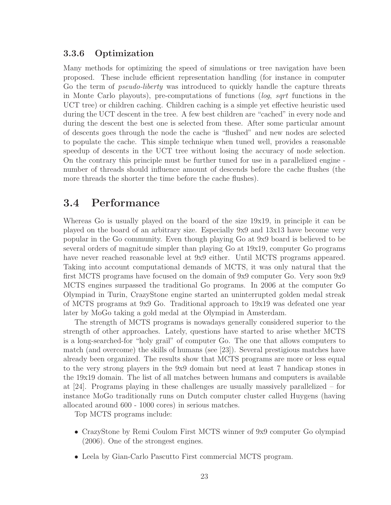## 3.3.6 Optimization

Many methods for optimizing the speed of simulations or tree navigation have been proposed. These include efficient representation handling (for instance in computer Go the term of *pseudo-liberty* was introduced to quickly handle the capture threats in Monte Carlo playouts), pre-computations of functions (*log*, *sqrt* functions in the UCT tree) or children caching. Children caching is a simple yet effective heuristic used during the UCT descent in the tree. A few best children are "cached" in every node and during the descent the best one is selected from these. After some particular amount of descents goes through the node the cache is "flushed" and new nodes are selected to populate the cache. This simple technique when tuned well, provides a reasonable speedup of descents in the UCT tree without losing the accuracy of node selection. On the contrary this principle must be further tuned for use in a parallelized engine number of threads should influence amount of descends before the cache flushes (the more threads the shorter the time before the cache flushes).

## 3.4 Performance

Whereas Go is usually played on the board of the size 19x19, in principle it can be played on the board of an arbitrary size. Especially 9x9 and 13x13 have become very popular in the Go community. Even though playing Go at 9x9 board is believed to be several orders of magnitude simpler than playing Go at 19x19, computer Go programs have never reached reasonable level at 9x9 either. Until MCTS programs appeared. Taking into account computational demands of MCTS, it was only natural that the first MCTS programs have focused on the domain of 9x9 computer Go. Very soon 9x9 MCTS engines surpassed the traditional Go programs. In 2006 at the computer Go Olympiad in Turin, CrazyStone engine started an uninterrupted golden medal streak of MCTS programs at 9x9 Go. Traditional approach to 19x19 was defeated one year later by MoGo taking a gold medal at the Olympiad in Amsterdam.

The strength of MCTS programs is nowadays generally considered superior to the strength of other approaches. Lately, questions have started to arise whether MCTS is a long-searched-for "holy grail" of computer Go. The one that allows computers to match (and overcome) the skills of humans (see [23]). Several prestigious matches have already been organized. The results show that MCTS programs are more or less equal to the very strong players in the 9x9 domain but need at least 7 handicap stones in the 19x19 domain. The list of all matches between humans and computers is available at [24]. Programs playing in these challenges are usually massively parallelized – for instance MoGo traditionally runs on Dutch computer cluster called Huygens (having allocated around 600 - 1000 cores) in serious matches.

Top MCTS programs include:

- CrazyStone by Remi Coulom First MCTS winner of 9x9 computer Go olympiad (2006). One of the strongest engines.
- Leela by Gian-Carlo Pascutto First commercial MCTS program.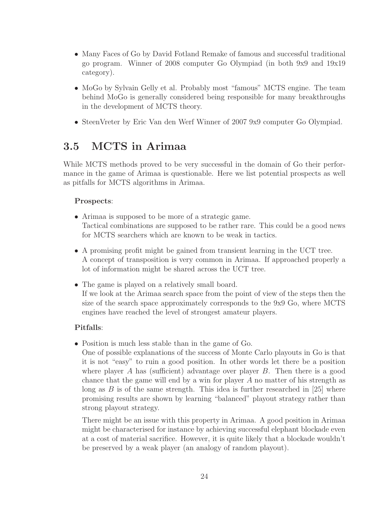- Many Faces of Go by David Fotland Remake of famous and successful traditional go program. Winner of 2008 computer Go Olympiad (in both 9x9 and 19x19 category).
- MoGo by Sylvain Gelly et al. Probably most "famous" MCTS engine. The team behind MoGo is generally considered being responsible for many breakthroughs in the development of MCTS theory.
- SteenVreter by Eric Van den Werf Winner of 2007 9x9 computer Go Olympiad.

## 3.5 MCTS in Arimaa

While MCTS methods proved to be very successful in the domain of Go their performance in the game of Arimaa is questionable. Here we list potential prospects as well as pitfalls for MCTS algorithms in Arimaa.

## Prospects:

- Arimaa is supposed to be more of a strategic game. Tactical combinations are supposed to be rather rare. This could be a good news for MCTS searchers which are known to be weak in tactics.
- A promising profit might be gained from transient learning in the UCT tree. A concept of transposition is very common in Arimaa. If approached properly a lot of information might be shared across the UCT tree.
- The game is played on a relatively small board. If we look at the Arimaa search space from the point of view of the steps then the size of the search space approximately corresponds to the 9x9 Go, where MCTS engines have reached the level of strongest amateur players.

## Pitfalls:

• Position is much less stable than in the game of Go.

One of possible explanations of the success of Monte Carlo playouts in Go is that it is not "easy" to ruin a good position. In other words let there be a position where player A has (sufficient) advantage over player  $B$ . Then there is a good chance that the game will end by a win for player A no matter of his strength as long as  $B$  is of the same strength. This idea is further researched in [25] where promising results are shown by learning "balanced" playout strategy rather than strong playout strategy.

There might be an issue with this property in Arimaa. A good position in Arimaa might be characterised for instance by achieving successful elephant blockade even at a cost of material sacrifice. However, it is quite likely that a blockade wouldn't be preserved by a weak player (an analogy of random playout).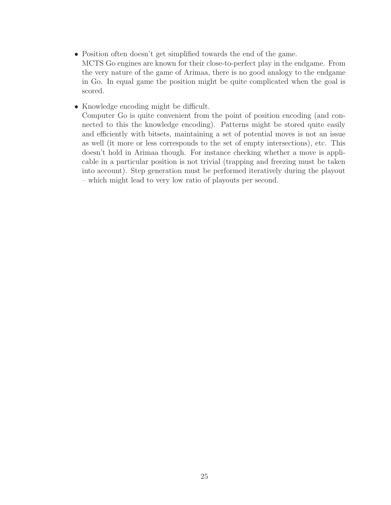- Position often doesn't get simplified towards the end of the game. MCTS Go engines are known for their close-to-perfect play in the endgame. From the very nature of the game of Arimaa, there is no good analogy to the endgame in Go. In equal game the position might be quite complicated when the goal is scored.
- Knowledge encoding might be difficult.

Computer Go is quite convenient from the point of position encoding (and connected to this the knowledge encoding). Patterns might be stored quite easily and efficiently with bitsets, maintaining a set of potential moves is not an issue as well (it more or less corresponds to the set of empty intersections), etc. This doesn't hold in Arimaa though. For instance checking whether a move is applicable in a particular position is not trivial (trapping and freezing must be taken into account). Step generation must be performed iteratively during the playout – which might lead to very low ratio of playouts per second.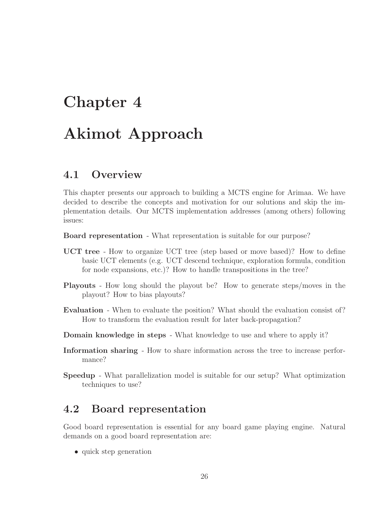## Chapter 4

## Akimot Approach

## 4.1 Overview

This chapter presents our approach to building a MCTS engine for Arimaa. We have decided to describe the concepts and motivation for our solutions and skip the implementation details. Our MCTS implementation addresses (among others) following issues:

Board representation - What representation is suitable for our purpose?

- UCT tree How to organize UCT tree (step based or move based)? How to define basic UCT elements (e.g. UCT descend technique, exploration formula, condition for node expansions, etc.)? How to handle transpositions in the tree?
- Playouts How long should the playout be? How to generate steps/moves in the playout? How to bias playouts?
- Evaluation When to evaluate the position? What should the evaluation consist of? How to transform the evaluation result for later back-propagation?
- Domain knowledge in steps What knowledge to use and where to apply it?
- Information sharing How to share information across the tree to increase performance?
- Speedup What parallelization model is suitable for our setup? What optimization techniques to use?

## 4.2 Board representation

Good board representation is essential for any board game playing engine. Natural demands on a good board representation are:

• quick step generation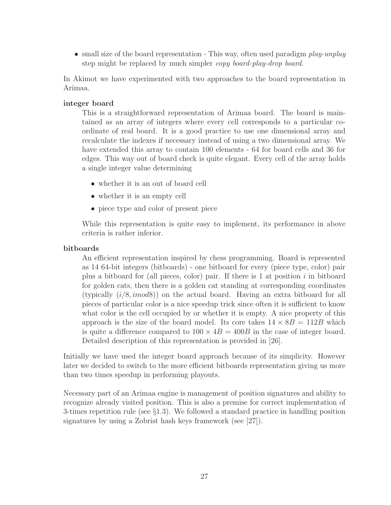• small size of the board representation - This way, often used paradigm *play-unplay* step might be replaced by much simpler *copy board-play-drop board*.

In Akimot we have experimented with two approaches to the board representation in Arimaa.

## integer board

This is a straightforward representation of Arimaa board. The board is maintained as an array of integers where every cell corresponds to a particular coordinate of real board. It is a good practice to use one dimensional array and recalculate the indexes if necessary instead of using a two dimensional array. We have extended this array to contain 100 elements - 64 for board cells and 36 for edges. This way out of board check is quite elegant. Every cell of the array holds a single integer value determining

- whether it is an out of board cell
- whether it is an empty cell
- piece type and color of present piece

While this representation is quite easy to implement, its performance in above criteria is rather inferior.

### bitboards

An efficient representation inspired by chess programming. Board is represented as 14 64-bit integers (bitboards) - one bitboard for every (piece type, color) pair plus a bitboard for (all pieces, color) pair. If there is  $1$  at position  $i$  in bitboard for golden cats, then there is a golden cat standing at corresponding coordinates (typically  $(i/8, imod8)$ ) on the actual board. Having an extra bitboard for all pieces of particular color is a nice speedup trick since often it is sufficient to know what color is the cell occupied by or whether it is empty. A nice property of this approach is the size of the board model. Its core takes  $14 \times 8B = 112B$  which is quite a difference compared to  $100 \times 4B = 400B$  in the case of integer board. Detailed description of this representation is provided in [26].

Initially we have used the integer board approach because of its simplicity. However later we decided to switch to the more efficient bitboards representation giving us more than two times speedup in performing playouts.

Necessary part of an Arimaa engine is management of position signatures and ability to recognize already visited position. This is also a premise for correct implementation of 3-times repetition rule (see §1.3). We followed a standard practice in handling position signatures by using a Zobrist hash keys framework (see [27]).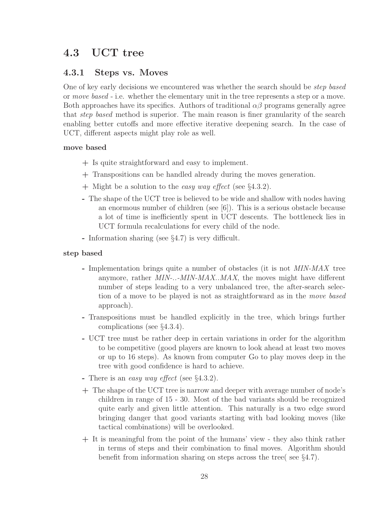## 4.3 UCT tree

## 4.3.1 Steps vs. Moves

One of key early decisions we encountered was whether the search should be *step based* or *move based* - i.e. whether the elementary unit in the tree represents a step or a move. Both approaches have its specifics. Authors of traditional  $\alpha\beta$  programs generally agree that *step based* method is superior. The main reason is finer granularity of the search enabling better cutoffs and more effective iterative deepening search. In the case of UCT, different aspects might play role as well.

## move based

- + Is quite straightforward and easy to implement.
- + Transpositions can be handled already during the moves generation.
- + Might be a solution to the *easy way effect* (see §4.3.2).
- The shape of the UCT tree is believed to be wide and shallow with nodes having an enormous number of children (see  $[6]$ ). This is a serious obstacle because a lot of time is inefficiently spent in UCT descents. The bottleneck lies in UCT formula recalculations for every child of the node.
- Information sharing (see §4.7) is very difficult.

### step based

- Implementation brings quite a number of obstacles (it is not *MIN-MAX* tree anymore, rather *MIN-..-MIN-MAX..MAX*, the moves might have different number of steps leading to a very unbalanced tree, the after-search selection of a move to be played is not as straightforward as in the *move based* approach).
- Transpositions must be handled explicitly in the tree, which brings further complications (see §4.3.4).
- UCT tree must be rather deep in certain variations in order for the algorithm to be competitive (good players are known to look ahead at least two moves or up to 16 steps). As known from computer Go to play moves deep in the tree with good confidence is hard to achieve.
- There is an *easy way effect* (see §4.3.2).
- + The shape of the UCT tree is narrow and deeper with average number of node's children in range of 15 - 30. Most of the bad variants should be recognized quite early and given little attention. This naturally is a two edge sword bringing danger that good variants starting with bad looking moves (like tactical combinations) will be overlooked.
- + It is meaningful from the point of the humans' view they also think rather in terms of steps and their combination to final moves. Algorithm should benefit from information sharing on steps across the tree( see §4.7).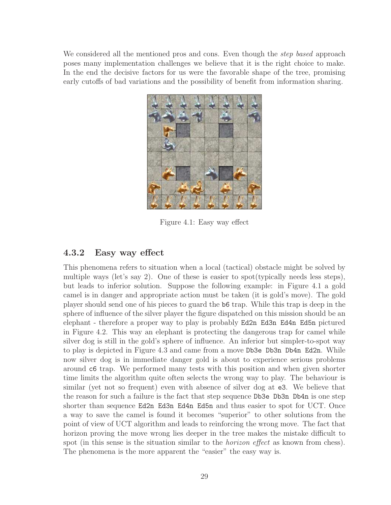We considered all the mentioned pros and cons. Even though the *step based* approach poses many implementation challenges we believe that it is the right choice to make. In the end the decisive factors for us were the favorable shape of the tree, promising early cutoffs of bad variations and the possibility of benefit from information sharing.



Figure 4.1: Easy way effect

## 4.3.2 Easy way effect

This phenomena refers to situation when a local (tactical) obstacle might be solved by multiple ways (let's say 2). One of these is easier to spot(typically needs less steps), but leads to inferior solution. Suppose the following example: in Figure 4.1 a gold camel is in danger and appropriate action must be taken (it is gold's move). The gold player should send one of his pieces to guard the b6 trap. While this trap is deep in the sphere of influence of the silver player the figure dispatched on this mission should be an elephant - therefore a proper way to play is probably Ed2n Ed3n Ed4n Ed5n pictured in Figure 4.2. This way an elephant is protecting the dangerous trap for camel while silver dog is still in the gold's sphere of influence. An inferior but simpler-to-spot way to play is depicted in Figure 4.3 and came from a move Db3e Db3n Db4n Ed2n. While now silver dog is in immediate danger gold is about to experience serious problems around c6 trap. We performed many tests with this position and when given shorter time limits the algorithm quite often selects the wrong way to play. The behaviour is similar (yet not so frequent) even with absence of silver dog at e3. We believe that the reason for such a failure is the fact that step sequence Db3e Db3n Db4n is one step shorter than sequence Ed2n Ed3n Ed4n Ed5n and thus easier to spot for UCT. Once a way to save the camel is found it becomes "superior" to other solutions from the point of view of UCT algorithm and leads to reinforcing the wrong move. The fact that horizon proving the move wrong lies deeper in the tree makes the mistake difficult to spot (in this sense is the situation similar to the *horizon effect* as known from chess). The phenomena is the more apparent the "easier" the easy way is.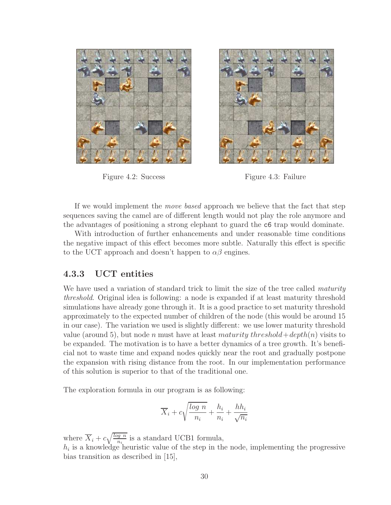

Figure 4.2: Success Figure 4.3: Failure



If we would implement the *move based* approach we believe that the fact that step sequences saving the camel are of different length would not play the role anymore and the advantages of positioning a strong elephant to guard the c6 trap would dominate.

With introduction of further enhancements and under reasonable time conditions the negative impact of this effect becomes more subtle. Naturally this effect is specific to the UCT approach and doesn't happen to  $\alpha\beta$  engines.

## 4.3.3 UCT entities

We have used a variation of standard trick to limit the size of the tree called *maturity threshold*. Original idea is following: a node is expanded if at least maturity threshold simulations have already gone through it. It is a good practice to set maturity threshold approximately to the expected number of children of the node (this would be around 15 in our case). The variation we used is slightly different: we use lower maturity threshold value (around 5), but node n must have at least maturity threshold + depth(n) visits to be expanded. The motivation is to have a better dynamics of a tree growth. It's beneficial not to waste time and expand nodes quickly near the root and gradually postpone the expansion with rising distance from the root. In our implementation performance of this solution is superior to that of the traditional one.

The exploration formula in our program is as following:

$$
\overline{X}_i + c\sqrt{\frac{\log\,n}{n_i}} + \frac{h_i}{n_i} + \frac{hh_i}{\sqrt{n_i}}
$$

where  $\overline{X}_i + c\sqrt{\frac{\log n}{n_i}}$  is a standard UCB1 formula,  $h_i$  is a knowledge heuristic value of the step in the node, implementing the progressive bias transition as described in [15],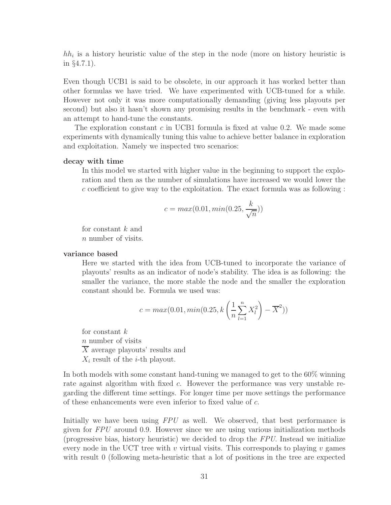$hh_i$  is a history heuristic value of the step in the node (more on history heuristic is in §4.7.1).

Even though UCB1 is said to be obsolete, in our approach it has worked better than other formulas we have tried. We have experimented with UCB-tuned for a while. However not only it was more computationally demanding (giving less playouts per second) but also it hasn't shown any promising results in the benchmark - even with an attempt to hand-tune the constants.

The exploration constant c in UCB1 formula is fixed at value 0.2. We made some experiments with dynamically tuning this value to achieve better balance in exploration and exploitation. Namely we inspected two scenarios:

#### decay with time

In this model we started with higher value in the beginning to support the exploration and then as the number of simulations have increased we would lower the c coefficient to give way to the exploitation. The exact formula was as following :

$$
c = \max(0.01, \min(0.25, \frac{k}{\sqrt{n}}))
$$

for constant k and n number of visits.

#### variance based

Here we started with the idea from UCB-tuned to incorporate the variance of playouts' results as an indicator of node's stability. The idea is as following: the smaller the variance, the more stable the node and the smaller the exploration constant should be. Formula we used was:

$$
c = max(0.01, min(0.25, k\left(\frac{1}{n}\sum_{l=1}^{n} X_l^2\right) - \overline{X}^2))
$$

for constant  $k$ n number of visits  $\overline{X}$  average playouts' results and  $X_i$  result of the *i*-th playout.

In both models with some constant hand-tuning we managed to get to the 60% winning rate against algorithm with fixed c. However the performance was very unstable regarding the different time settings. For longer time per move settings the performance of these enhancements were even inferior to fixed value of c.

Initially we have been using *FPU* as well. We observed, that best performance is given for *FPU* around 0.9. However since we are using various initialization methods (progressive bias, history heuristic) we decided to drop the *FPU*. Instead we initialize every node in the UCT tree with v virtual visits. This corresponds to playing v games with result 0 (following meta-heuristic that a lot of positions in the tree are expected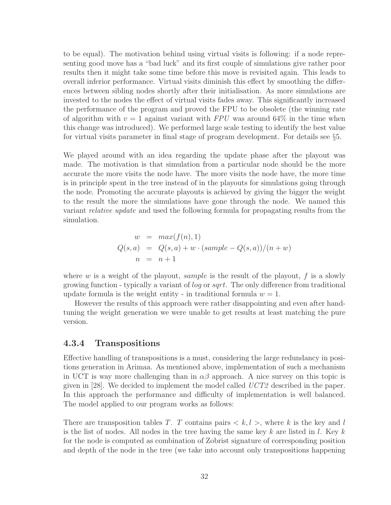to be equal). The motivation behind using virtual visits is following: if a node representing good move has a "bad luck" and its first couple of simulations give rather poor results then it might take some time before this move is revisited again. This leads to overall inferior performance. Virtual visits diminish this effect by smoothing the differences between sibling nodes shortly after their initialisation. As more simulations are invested to the nodes the effect of virtual visits fades away. This significantly increased the performance of the program and proved the FPU to be obsolete (the winning rate of algorithm with  $v = 1$  against variant with *FPU* was around 64% in the time when this change was introduced). We performed large scale testing to identify the best value for virtual visits parameter in final stage of program development. For details see §5.

We played around with an idea regarding the update phase after the playout was made. The motivation is that simulation from a particular node should be the more accurate the more visits the node have. The more visits the node have, the more time is in principle spent in the tree instead of in the playouts for simulations going through the node. Promoting the accurate playouts is achieved by giving the bigger the weight to the result the more the simulations have gone through the node. We named this variant *relative update* and used the following formula for propagating results from the simulation.

$$
w = max(f(n), 1)
$$
  
 
$$
Q(s, a) = Q(s, a) + w \cdot (sample - Q(s, a))/(n + w)
$$
  
\n
$$
n = n + 1
$$

where w is a weight of the playout, sample is the result of the playout,  $f$  is a slowly growing function - typically a variant of log or sqrt. The only difference from traditional update formula is the weight entity - in traditional formula  $w = 1$ .

However the results of this approach were rather disappointing and even after handtuning the weight generation we were unable to get results at least matching the pure version.

## 4.3.4 Transpositions

Effective handling of transpositions is a must, considering the large redundancy in positions generation in Arimaa. As mentioned above, implementation of such a mechanism in UCT is way more challenging than in  $\alpha\beta$  approach. A nice survey on this topic is given in [28]. We decided to implement the model called *UCT2* described in the paper. In this approach the performance and difficulty of implementation is well balanced. The model applied to our program works as follows:

There are transposition tables T. T contains pairs  $\langle k, l \rangle$ , where k is the key and l is the list of nodes. All nodes in the tree having the same key k are listed in l. Key k for the node is computed as combination of Zobrist signature of corresponding position and depth of the node in the tree (we take into account only transpositions happening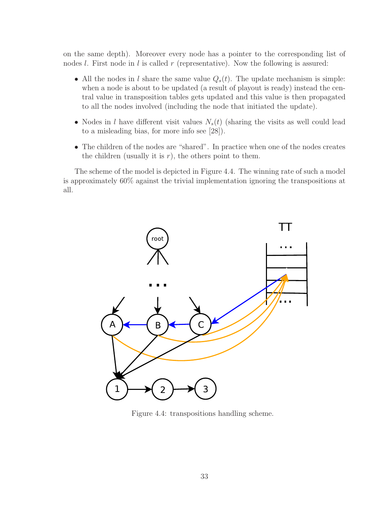on the same depth). Moreover every node has a pointer to the corresponding list of nodes  $l$ . First node in  $l$  is called  $r$  (representative). Now the following is assured:

- All the nodes in l share the same value  $Q_s(t)$ . The update mechanism is simple: when a node is about to be updated (a result of playout is ready) instead the central value in transposition tables gets updated and this value is then propagated to all the nodes involved (including the node that initiated the update).
- Nodes in l have different visit values  $N_s(t)$  (sharing the visits as well could lead to a misleading bias, for more info see [28]).
- The children of the nodes are "shared". In practice when one of the nodes creates the children (usually it is  $r$ ), the others point to them.

The scheme of the model is depicted in Figure 4.4. The winning rate of such a model is approximately 60% against the trivial implementation ignoring the transpositions at all.



Figure 4.4: transpositions handling scheme.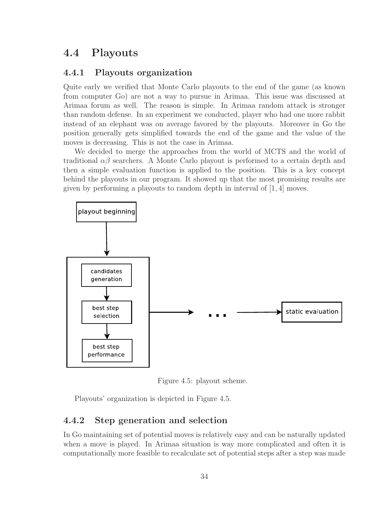## 4.4 Playouts

## 4.4.1 Playouts organization

Quite early we verified that Monte Carlo playouts to the end of the game (as known from computer Go) are not a way to pursue in Arimaa. This issue was discussed at Arimaa forum as well. The reason is simple. In Arimaa random attack is stronger than random defense. In an experiment we conducted, player who had one more rabbit instead of an elephant was on average favored by the playouts. Moreover in Go the position generally gets simplified towards the end of the game and the value of the moves is decreasing. This is not the case in Arimaa.

We decided to merge the approaches from the world of MCTS and the world of traditional  $\alpha\beta$  searchers. A Monte Carlo playout is performed to a certain depth and then a simple evaluation function is applied to the position. This is a key concept behind the playouts in our program. It showed up that the most promising results are given by performing a playouts to random depth in interval of  $[1, 4]$  moves.



Figure 4.5: playout scheme.

Playouts' organization is depicted in Figure 4.5.

## 4.4.2 Step generation and selection

In Go maintaining set of potential moves is relatively easy and can be naturally updated when a move is played. In Arimaa situation is way more complicated and often it is computationally more feasible to recalculate set of potential steps after a step was made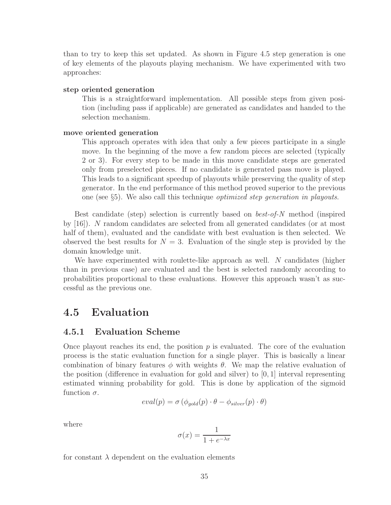than to try to keep this set updated. As shown in Figure 4.5 step generation is one of key elements of the playouts playing mechanism. We have experimented with two approaches:

#### step oriented generation

This is a straightforward implementation. All possible steps from given position (including pass if applicable) are generated as candidates and handed to the selection mechanism.

#### move oriented generation

This approach operates with idea that only a few pieces participate in a single move. In the beginning of the move a few random pieces are selected (typically 2 or 3). For every step to be made in this move candidate steps are generated only from preselected pieces. If no candidate is generated pass move is played. This leads to a significant speedup of playouts while preserving the quality of step generator. In the end performance of this method proved superior to the previous one (see §5). We also call this technique *optimized step generation in playouts*.

Best candidate (step) selection is currently based on *best-of-N* method (inspired by [16]). N random candidates are selected from all generated candidates (or at most half of them), evaluated and the candidate with best evaluation is then selected. We observed the best results for  $N = 3$ . Evaluation of the single step is provided by the domain knowledge unit.

We have experimented with roulette-like approach as well. N candidates (higher than in previous case) are evaluated and the best is selected randomly according to probabilities proportional to these evaluations. However this approach wasn't as successful as the previous one.

## 4.5 Evaluation

### 4.5.1 Evaluation Scheme

Once playout reaches its end, the position  $p$  is evaluated. The core of the evaluation process is the static evaluation function for a single player. This is basically a linear combination of binary features  $\phi$  with weights  $\theta$ . We map the relative evaluation of the position (difference in evaluation for gold and silver) to  $[0, 1]$  interval representing estimated winning probability for gold. This is done by application of the sigmoid function  $\sigma$ .

$$
eval(p) = \sigma (\phi_{gold}(p) \cdot \theta - \phi_{silver}(p) \cdot \theta)
$$

where

$$
\sigma(x)=\frac{1}{1+e^{-\lambda x}}
$$

for constant  $\lambda$  dependent on the evaluation elements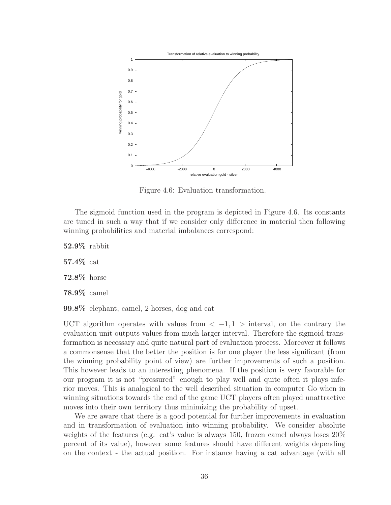

Figure 4.6: Evaluation transformation.

The sigmoid function used in the program is depicted in Figure 4.6. Its constants are tuned in such a way that if we consider only difference in material then following winning probabilities and material imbalances correspond:

52.9% rabbit 57.4% cat 72.8% horse 78.9% camel

99.8% elephant, camel, 2 horses, dog and cat

UCT algorithm operates with values from  $\langle -1, 1 \rangle$  interval, on the contrary the evaluation unit outputs values from much larger interval. Therefore the sigmoid transformation is necessary and quite natural part of evaluation process. Moreover it follows a commonsense that the better the position is for one player the less significant (from the winning probability point of view) are further improvements of such a position. This however leads to an interesting phenomena. If the position is very favorable for our program it is not "pressured" enough to play well and quite often it plays inferior moves. This is analogical to the well described situation in computer Go when in winning situations towards the end of the game UCT players often played unattractive moves into their own territory thus minimizing the probability of upset.

We are aware that there is a good potential for further improvements in evaluation and in transformation of evaluation into winning probability. We consider absolute weights of the features (e.g. cat's value is always 150, frozen camel always loses 20% percent of its value), however some features should have different weights depending on the context - the actual position. For instance having a cat advantage (with all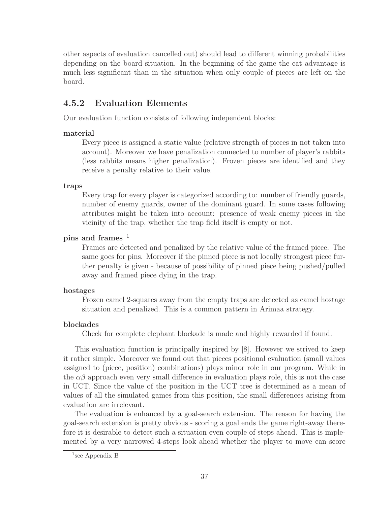other aspects of evaluation cancelled out) should lead to different winning probabilities depending on the board situation. In the beginning of the game the cat advantage is much less significant than in the situation when only couple of pieces are left on the board.

## 4.5.2 Evaluation Elements

Our evaluation function consists of following independent blocks:

### material

Every piece is assigned a static value (relative strength of pieces in not taken into account). Moreover we have penalization connected to number of player's rabbits (less rabbits means higher penalization). Frozen pieces are identified and they receive a penalty relative to their value.

#### traps

Every trap for every player is categorized according to: number of friendly guards, number of enemy guards, owner of the dominant guard. In some cases following attributes might be taken into account: presence of weak enemy pieces in the vicinity of the trap, whether the trap field itself is empty or not.

### pins and frames  $1$

Frames are detected and penalized by the relative value of the framed piece. The same goes for pins. Moreover if the pinned piece is not locally strongest piece further penalty is given - because of possibility of pinned piece being pushed/pulled away and framed piece dying in the trap.

#### hostages

Frozen camel 2-squares away from the empty traps are detected as camel hostage situation and penalized. This is a common pattern in Arimaa strategy.

### blockades

Check for complete elephant blockade is made and highly rewarded if found.

This evaluation function is principally inspired by [8]. However we strived to keep it rather simple. Moreover we found out that pieces positional evaluation (small values assigned to (piece, position) combinations) plays minor role in our program. While in the  $\alpha\beta$  approach even very small difference in evaluation plays role, this is not the case in UCT. Since the value of the position in the UCT tree is determined as a mean of values of all the simulated games from this position, the small differences arising from evaluation are irrelevant.

The evaluation is enhanced by a goal-search extension. The reason for having the goal-search extension is pretty obvious - scoring a goal ends the game right-away therefore it is desirable to detect such a situation even couple of steps ahead. This is implemented by a very narrowed 4-steps look ahead whether the player to move can score

<sup>1</sup> see Appendix B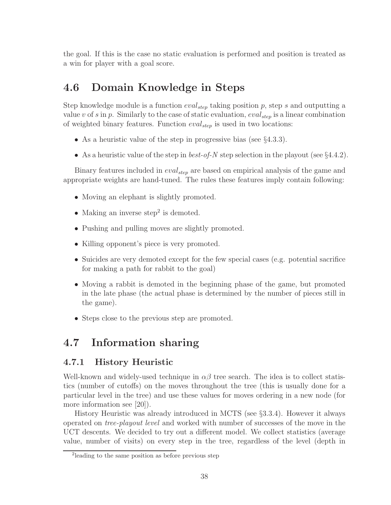the goal. If this is the case no static evaluation is performed and position is treated as a win for player with a goal score.

## 4.6 Domain Knowledge in Steps

Step knowledge module is a function  $eval_{step}$  taking position p, step s and outputting a value v of s in p. Similarly to the case of static evaluation,  $eval_{step}$  is a linear combination of weighted binary features. Function  $eval_{step}$  is used in two locations:

- As a heuristic value of the step in progressive bias (see §4.3.3).
- As a heuristic value of the step in *best-of-N* step selection in the playout (see §4.4.2).

Binary features included in  $eval_{step}$  are based on empirical analysis of the game and appropriate weights are hand-tuned. The rules these features imply contain following:

- Moving an elephant is slightly promoted.
- Making an inverse step<sup>2</sup> is demoted.
- Pushing and pulling moves are slightly promoted.
- Killing opponent's piece is very promoted.
- Suicides are very demoted except for the few special cases (e.g. potential sacrifice for making a path for rabbit to the goal)
- Moving a rabbit is demoted in the beginning phase of the game, but promoted in the late phase (the actual phase is determined by the number of pieces still in the game).
- Steps close to the previous step are promoted.

## 4.7 Information sharing

## 4.7.1 History Heuristic

Well-known and widely-used technique in  $\alpha\beta$  tree search. The idea is to collect statistics (number of cutoffs) on the moves throughout the tree (this is usually done for a particular level in the tree) and use these values for moves ordering in a new node (for more information see [20]).

History Heuristic was already introduced in MCTS (see §3.3.4). However it always operated on *tree-playout level* and worked with number of successes of the move in the UCT descents. We decided to try out a different model. We collect statistics (average value, number of visits) on every step in the tree, regardless of the level (depth in

<sup>2</sup> leading to the same position as before previous step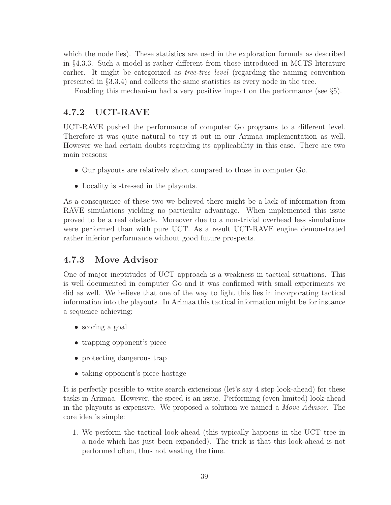which the node lies). These statistics are used in the exploration formula as described in §4.3.3. Such a model is rather different from those introduced in MCTS literature earlier. It might be categorized as *tree-tree level* (regarding the naming convention presented in §3.3.4) and collects the same statistics as every node in the tree.

Enabling this mechanism had a very positive impact on the performance (see §5).

## 4.7.2 UCT-RAVE

UCT-RAVE pushed the performance of computer Go programs to a different level. Therefore it was quite natural to try it out in our Arimaa implementation as well. However we had certain doubts regarding its applicability in this case. There are two main reasons:

- Our playouts are relatively short compared to those in computer Go.
- Locality is stressed in the playouts.

As a consequence of these two we believed there might be a lack of information from RAVE simulations yielding no particular advantage. When implemented this issue proved to be a real obstacle. Moreover due to a non-trivial overhead less simulations were performed than with pure UCT. As a result UCT-RAVE engine demonstrated rather inferior performance without good future prospects.

## 4.7.3 Move Advisor

One of major ineptitudes of UCT approach is a weakness in tactical situations. This is well documented in computer Go and it was confirmed with small experiments we did as well. We believe that one of the way to fight this lies in incorporating tactical information into the playouts. In Arimaa this tactical information might be for instance a sequence achieving:

- scoring a goal
- trapping opponent's piece
- protecting dangerous trap
- taking opponent's piece hostage

It is perfectly possible to write search extensions (let's say 4 step look-ahead) for these tasks in Arimaa. However, the speed is an issue. Performing (even limited) look-ahead in the playouts is expensive. We proposed a solution we named a *Move Advisor*. The core idea is simple:

1. We perform the tactical look-ahead (this typically happens in the UCT tree in a node which has just been expanded). The trick is that this look-ahead is not performed often, thus not wasting the time.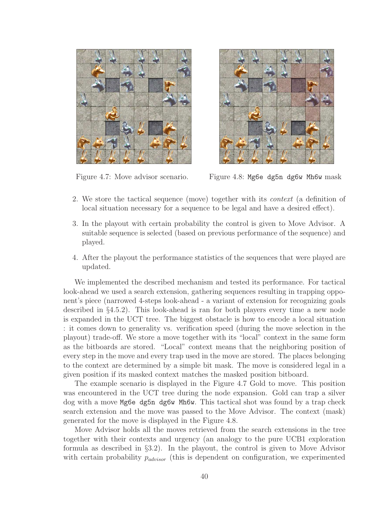



Figure 4.7: Move advisor scenario. Figure 4.8: Mg6e dg5n dg6w Mh6w mask

- 2. We store the tactical sequence (move) together with its *context* (a definition of local situation necessary for a sequence to be legal and have a desired effect).
- 3. In the playout with certain probability the control is given to Move Advisor. A suitable sequence is selected (based on previous performance of the sequence) and played.
- 4. After the playout the performance statistics of the sequences that were played are updated.

We implemented the described mechanism and tested its performance. For tactical look-ahead we used a search extension, gathering sequences resulting in trapping opponent's piece (narrowed 4-steps look-ahead - a variant of extension for recognizing goals described in §4.5.2). This look-ahead is ran for both players every time a new node is expanded in the UCT tree. The biggest obstacle is how to encode a local situation : it comes down to generality vs. verification speed (during the move selection in the playout) trade-off. We store a move together with its "local" context in the same form as the bitboards are stored. "Local" context means that the neighboring position of every step in the move and every trap used in the move are stored. The places belonging to the context are determined by a simple bit mask. The move is considered legal in a given position if its masked context matches the masked position bitboard.

The example scenario is displayed in the Figure 4.7 Gold to move. This position was encountered in the UCT tree during the node expansion. Gold can trap a silver dog with a move Mg6e dg5n dg6w Mh6w. This tactical shot was found by a trap check search extension and the move was passed to the Move Advisor. The context (mask) generated for the move is displayed in the Figure 4.8.

Move Advisor holds all the moves retrieved from the search extensions in the tree together with their contexts and urgency (an analogy to the pure UCB1 exploration formula as described in §3.2). In the playout, the control is given to Move Advisor with certain probability  $p_{advisor}$  (this is dependent on configuration, we experimented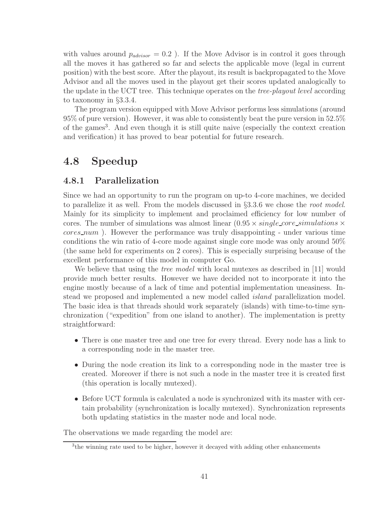with values around  $p_{advisor} = 0.2$ ). If the Move Advisor is in control it goes through all the moves it has gathered so far and selects the applicable move (legal in current position) with the best score. After the playout, its result is backpropagated to the Move Advisor and all the moves used in the playout get their scores updated analogically to the update in the UCT tree. This technique operates on the *tree-playout level* according to taxonomy in §3.3.4.

The program version equipped with Move Advisor performs less simulations (around 95% of pure version). However, it was able to consistently beat the pure version in 52.5% of the games<sup>3</sup>. And even though it is still quite naive (especially the context creation and verification) it has proved to bear potential for future research.

## 4.8 Speedup

## 4.8.1 Parallelization

Since we had an opportunity to run the program on up-to 4-core machines, we decided to parallelize it as well. From the models discussed in §3.3.6 we chose the *root model*. Mainly for its simplicity to implement and proclaimed efficiency for low number of cores. The number of simulations was almost linear  $(0.95 \times single\_core\_simulations \times$ cores num ). However the performance was truly disappointing - under various time conditions the win ratio of 4-core mode against single core mode was only around 50% (the same held for experiments on 2 cores). This is especially surprising because of the excellent performance of this model in computer Go.

We believe that using the *tree model* with local mutexes as described in [11] would provide much better results. However we have decided not to incorporate it into the engine mostly because of a lack of time and potential implementation uneasiness. Instead we proposed and implemented a new model called *island* parallelization model. The basic idea is that threads should work separately (islands) with time-to-time synchronization ("expedition" from one island to another). The implementation is pretty straightforward:

- There is one master tree and one tree for every thread. Every node has a link to a corresponding node in the master tree.
- During the node creation its link to a corresponding node in the master tree is created. Moreover if there is not such a node in the master tree it is created first (this operation is locally mutexed).
- Before UCT formula is calculated a node is synchronized with its master with certain probability (synchronization is locally mutexed). Synchronization represents both updating statistics in the master node and local node.

The observations we made regarding the model are:

<sup>&</sup>lt;sup>3</sup>the winning rate used to be higher, however it decayed with adding other enhancements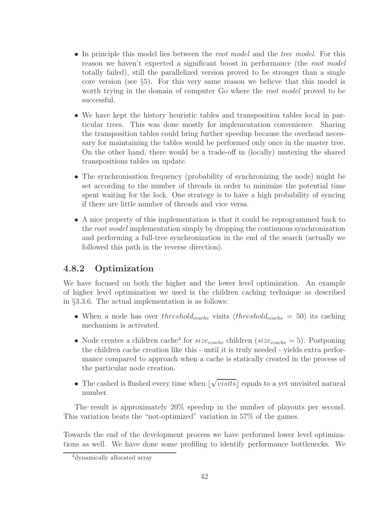- In principle this model lies between the *root model* and the *tree model*. For this reason we haven't expected a significant boost in performance (the *root model* totally failed), still the parallelized version proved to be stronger than a single core version (see §5). For this very same reason we believe that this model is worth trying in the domain of computer Go where the *root model* proved to be successful.
- We have kept the history heuristic tables and transposition tables local in particular trees. This was done mostly for implementation convenience. Sharing the transposition tables could bring further speedup because the overhead necessary for maintaining the tables would be performed only once in the master tree. On the other hand, there would be a trade-off in (locally) mutexing the shared transpositions tables on update.
- The synchronisation frequency (probability of synchronizing the node) might be set according to the number of threads in order to minimize the potential time spent waiting for the lock. One strategy is to have a high probability of syncing if there are little number of threads and vice versa.
- A nice property of this implementation is that it could be reprogrammed back to the *root model* implementation simply by dropping the continuous synchronization and performing a full-tree synchronization in the end of the search (actually we followed this path in the reverse direction).

## 4.8.2 Optimization

We have focused on both the higher and the lower level optimization. An example of higher level optimization we used is the children caching technique as described in §3.3.6. The actual implementation is as follows:

- When a node has over threshold<sub>ccache</sub> visits (threshold<sub>ccache</sub> = 50) its caching mechanism is activated.
- Node creates a children cache<sup>4</sup> for  $size_{cache}$  children ( $size_{cache} = 5$ ). Postponing the children cache creation like this - until it is truly needed - yields extra performance compared to approach when a cache is statically created in the process of the particular node creation.
- The cashed is flushed every time when  $\lfloor\sqrt{visits}\rfloor$  equals to a yet unvisited natural number.

The result is approximately 20% speedup in the number of playouts per second. This variation beats the "not-optimized" variation in 57% of the games.

Towards the end of the development process we have performed lower level optimizations as well. We have done some profiling to identify performance bottlenecks. We

<sup>4</sup>dynamically allocated array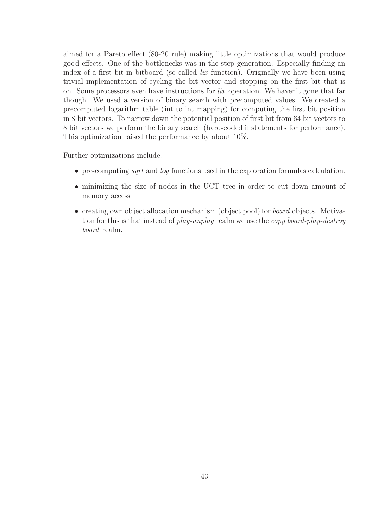aimed for a Pareto effect (80-20 rule) making little optimizations that would produce good effects. One of the bottlenecks was in the step generation. Especially finding an index of a first bit in bitboard (so called *lix* function). Originally we have been using trivial implementation of cycling the bit vector and stopping on the first bit that is on. Some processors even have instructions for *lix* operation. We haven't gone that far though. We used a version of binary search with precomputed values. We created a precomputed logarithm table (int to int mapping) for computing the first bit position in 8 bit vectors. To narrow down the potential position of first bit from 64 bit vectors to 8 bit vectors we perform the binary search (hard-coded if statements for performance). This optimization raised the performance by about 10%.

Further optimizations include:

- pre-computing *sqrt* and *log* functions used in the exploration formulas calculation.
- minimizing the size of nodes in the UCT tree in order to cut down amount of memory access
- creating own object allocation mechanism (object pool) for *board* objects. Motivation for this is that instead of *play-unplay* realm we use the *copy board-play-destroy board* realm.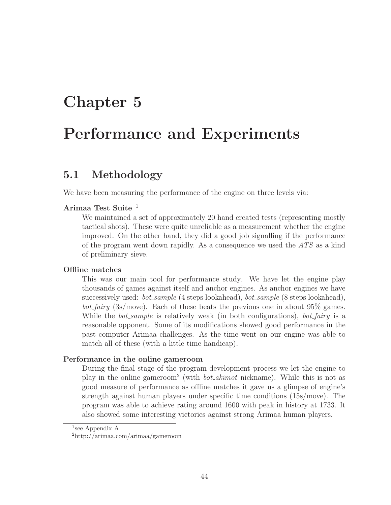## Chapter 5

## Performance and Experiments

## 5.1 Methodology

We have been measuring the performance of the engine on three levels via:

## Arimaa Test Suite <sup>1</sup>

We maintained a set of approximately 20 hand created tests (representing mostly tactical shots). These were quite unreliable as a measurement whether the engine improved. On the other hand, they did a good job signalling if the performance of the program went down rapidly. As a consequence we used the *ATS* as a kind of preliminary sieve.

### Offline matches

This was our main tool for performance study. We have let the engine play thousands of games against itself and anchor engines. As anchor engines we have successively used: *bot sample* (4 steps lookahead), *bot sample* (8 steps lookahead), *bot fairy* (3s/move). Each of these beats the previous one in about 95% games. While the *bot sample* is relatively weak (in both configurations), *bot fairy* is a reasonable opponent. Some of its modifications showed good performance in the past computer Arimaa challenges. As the time went on our engine was able to match all of these (with a little time handicap).

#### Performance in the online gameroom

During the final stage of the program development process we let the engine to play in the online gameroom<sup>2</sup> (with *bot akimot* nickname). While this is not as good measure of performance as offline matches it gave us a glimpse of engine's strength against human players under specific time conditions (15s/move). The program was able to achieve rating around 1600 with peak in history at 1733. It also showed some interesting victories against strong Arimaa human players.

<sup>1</sup> see Appendix A

<sup>2</sup>http://arimaa.com/arimaa/gameroom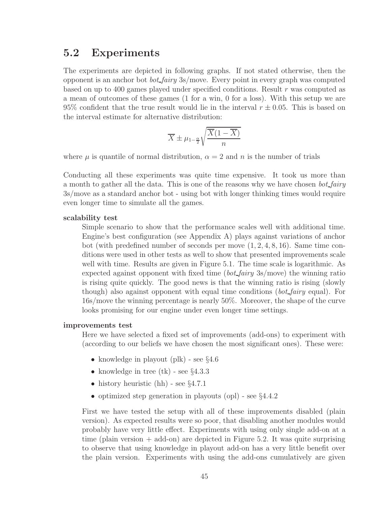## 5.2 Experiments

The experiments are depicted in following graphs. If not stated otherwise, then the opponent is an anchor bot *bot fairy* 3s/move. Every point in every graph was computed based on up to 400 games played under specified conditions. Result r was computed as a mean of outcomes of these games (1 for a win, 0 for a loss). With this setup we are 95% confident that the true result would lie in the interval  $r \pm 0.05$ . This is based on the interval estimate for alternative distribution:

$$
\overline{X} \pm \mu_{1-\frac{\alpha}{2}} \sqrt{\frac{\overline{X}(1-\overline{X})}{n}}
$$

where  $\mu$  is quantile of normal distribution,  $\alpha = 2$  and n is the number of trials

Conducting all these experiments was quite time expensive. It took us more than a month to gather all the data. This is one of the reasons why we have chosen *bot fairy* 3s/move as a standard anchor bot - using bot with longer thinking times would require even longer time to simulate all the games.

#### scalability test

Simple scenario to show that the performance scales well with additional time. Engine's best configuration (see Appendix A) plays against variations of anchor bot (with predefined number of seconds per move  $(1, 2, 4, 8, 16)$ ). Same time conditions were used in other tests as well to show that presented improvements scale well with time. Results are given in Figure 5.1. The time scale is logarithmic. As expected against opponent with fixed time (*bot fairy* 3s/move) the winning ratio is rising quite quickly. The good news is that the winning ratio is rising (slowly though) also against opponent with equal time conditions (*bot fairy* equal). For 16s/move the winning percentage is nearly 50%. Moreover, the shape of the curve looks promising for our engine under even longer time settings.

#### improvements test

Here we have selected a fixed set of improvements (add-ons) to experiment with (according to our beliefs we have chosen the most significant ones). These were:

- knowledge in playout (plk) see §4.6
- knowledge in tree  $(\text{tk})$  see  $\S 4.3.3$
- history heuristic (hh) see  $\S 4.7.1$
- optimized step generation in playouts (opl) see §4.4.2

First we have tested the setup with all of these improvements disabled (plain version). As expected results were so poor, that disabling another modules would probably have very little effect. Experiments with using only single add-on at a time (plain version  $+$  add-on) are depicted in Figure 5.2. It was quite surprising to observe that using knowledge in playout add-on has a very little benefit over the plain version. Experiments with using the add-ons cumulatively are given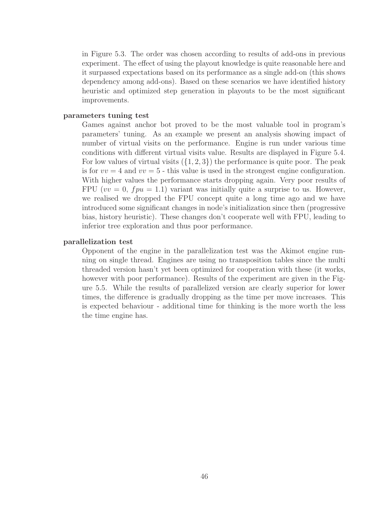in Figure 5.3. The order was chosen according to results of add-ons in previous experiment. The effect of using the playout knowledge is quite reasonable here and it surpassed expectations based on its performance as a single add-on (this shows dependency among add-ons). Based on these scenarios we have identified history heuristic and optimized step generation in playouts to be the most significant improvements.

#### parameters tuning test

Games against anchor bot proved to be the most valuable tool in program's parameters' tuning. As an example we present an analysis showing impact of number of virtual visits on the performance. Engine is run under various time conditions with different virtual visits value. Results are displayed in Figure 5.4. For low values of virtual visits  $({1, 2, 3})$  the performance is quite poor. The peak is for  $vv = 4$  and  $vv = 5$  - this value is used in the strongest engine configuration. With higher values the performance starts dropping again. Very poor results of FPU ( $vv = 0$ ,  $fpu = 1.1$ ) variant was initially quite a surprise to us. However, we realised we dropped the FPU concept quite a long time ago and we have introduced some significant changes in node's initialization since then (progressive bias, history heuristic). These changes don't cooperate well with FPU, leading to inferior tree exploration and thus poor performance.

#### parallelization test

Opponent of the engine in the parallelization test was the Akimot engine running on single thread. Engines are using no transposition tables since the multi threaded version hasn't yet been optimized for cooperation with these (it works, however with poor performance). Results of the experiment are given in the Figure 5.5. While the results of parallelized version are clearly superior for lower times, the difference is gradually dropping as the time per move increases. This is expected behaviour - additional time for thinking is the more worth the less the time engine has.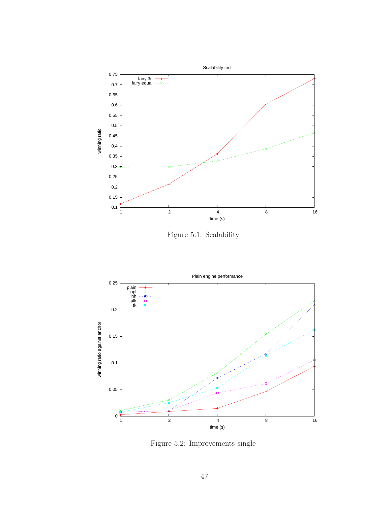

Figure 5.1: Scalability



Figure 5.2: Improvements single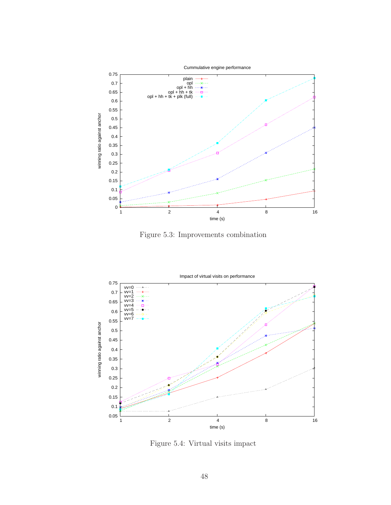

Figure 5.3: Improvements combination



Figure 5.4: Virtual visits impact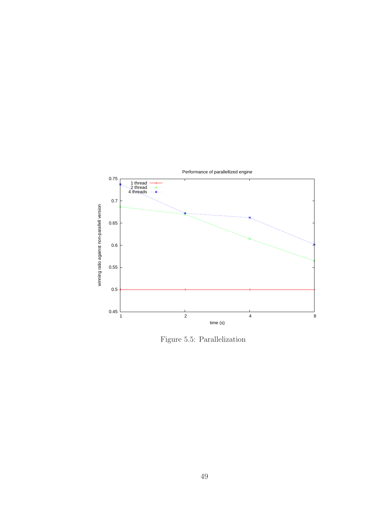

Figure 5.5: Parallelization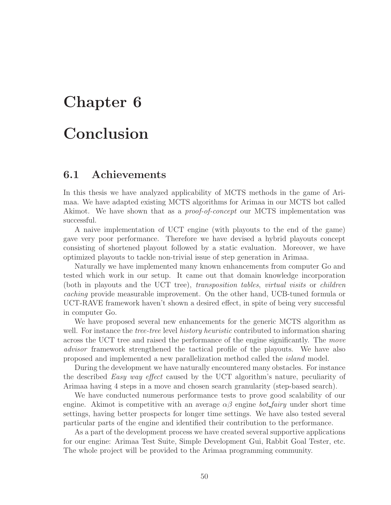# Chapter 6

## Conclusion

## 6.1 Achievements

In this thesis we have analyzed applicability of MCTS methods in the game of Arimaa. We have adapted existing MCTS algorithms for Arimaa in our MCTS bot called Akimot. We have shown that as a *proof-of-concept* our MCTS implementation was successful.

A naive implementation of UCT engine (with playouts to the end of the game) gave very poor performance. Therefore we have devised a hybrid playouts concept consisting of shortened playout followed by a static evaluation. Moreover, we have optimized playouts to tackle non-trivial issue of step generation in Arimaa.

Naturally we have implemented many known enhancements from computer Go and tested which work in our setup. It came out that domain knowledge incorporation (both in playouts and the UCT tree), *transposition tables*, *virtual visits* or *children caching* provide measurable improvement. On the other hand, UCB-tuned formula or UCT-RAVE framework haven't shown a desired effect, in spite of being very successful in computer Go.

We have proposed several new enhancements for the generic MCTS algorithm as well. For instance the *tree-tree* level *history heuristic* contributed to information sharing across the UCT tree and raised the performance of the engine significantly. The *move advisor* framework strengthened the tactical profile of the playouts. We have also proposed and implemented a new parallelization method called the *island* model.

During the development we have naturally encountered many obstacles. For instance the described *Easy way effect* caused by the UCT algorithm's nature, peculiarity of Arimaa having 4 steps in a move and chosen search granularity (step-based search).

We have conducted numerous performance tests to prove good scalability of our engine. A kimot is competitive with an average  $\alpha\beta$  engine *bot\_fairy* under short time settings, having better prospects for longer time settings. We have also tested several particular parts of the engine and identified their contribution to the performance.

As a part of the development process we have created several supportive applications for our engine: Arimaa Test Suite, Simple Development Gui, Rabbit Goal Tester, etc. The whole project will be provided to the Arimaa programming community.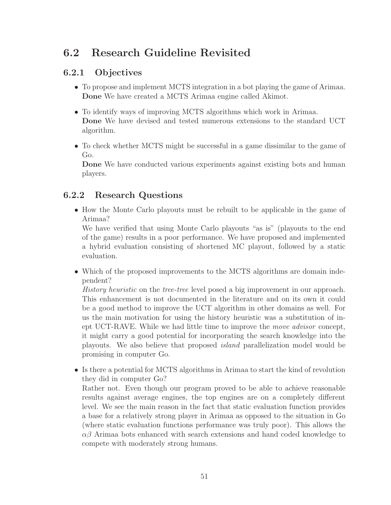## 6.2 Research Guideline Revisited

## 6.2.1 Objectives

- To propose and implement MCTS integration in a bot playing the game of Arimaa. Done We have created a MCTS Arimaa engine called Akimot.
- To identify ways of improving MCTS algorithms which work in Arimaa. Done We have devised and tested numerous extensions to the standard UCT algorithm.
- To check whether MCTS might be successful in a game dissimilar to the game of Go.

Done We have conducted various experiments against existing bots and human players.

## 6.2.2 Research Questions

• How the Monte Carlo playouts must be rebuilt to be applicable in the game of Arimaa?

We have verified that using Monte Carlo playouts "as is" (playouts to the end of the game) results in a poor performance. We have proposed and implemented a hybrid evaluation consisting of shortened MC playout, followed by a static evaluation.

• Which of the proposed improvements to the MCTS algorithms are domain independent?

*History heuristic* on the *tree-tree* level posed a big improvement in our approach. This enhancement is not documented in the literature and on its own it could be a good method to improve the UCT algorithm in other domains as well. For us the main motivation for using the history heuristic was a substitution of inept UCT-RAVE. While we had little time to improve the *move advisor* concept, it might carry a good potential for incorporating the search knowledge into the playouts. We also believe that proposed *island* parallelization model would be promising in computer Go.

• Is there a potential for MCTS algorithms in Arimaa to start the kind of revolution they did in computer Go?

Rather not. Even though our program proved to be able to achieve reasonable results against average engines, the top engines are on a completely different level. We see the main reason in the fact that static evaluation function provides a base for a relatively strong player in Arimaa as opposed to the situation in Go (where static evaluation functions performance was truly poor). This allows the  $\alpha\beta$  Arimaa bots enhanced with search extensions and hand coded knowledge to compete with moderately strong humans.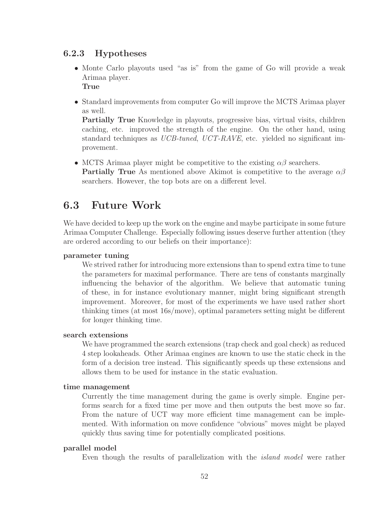## 6.2.3 Hypotheses

- Monte Carlo playouts used "as is" from the game of Go will provide a weak Arimaa player. True
- Standard improvements from computer Go will improve the MCTS Arimaa player as well.

Partially True Knowledge in playouts, progressive bias, virtual visits, children caching, etc. improved the strength of the engine. On the other hand, using standard techniques as *UCB-tuned*, *UCT-RAVE*, etc. yielded no significant improvement.

• MCTS Arimaa player might be competitive to the existing  $\alpha\beta$  searchers. **Partially True** As mentioned above Akimot is competitive to the average  $\alpha\beta$ searchers. However, the top bots are on a different level.

## 6.3 Future Work

We have decided to keep up the work on the engine and maybe participate in some future Arimaa Computer Challenge. Especially following issues deserve further attention (they are ordered according to our beliefs on their importance):

### parameter tuning

We strived rather for introducing more extensions than to spend extra time to tune the parameters for maximal performance. There are tens of constants marginally influencing the behavior of the algorithm. We believe that automatic tuning of these, in for instance evolutionary manner, might bring significant strength improvement. Moreover, for most of the experiments we have used rather short thinking times (at most 16s/move), optimal parameters setting might be different for longer thinking time.

### search extensions

We have programmed the search extensions (trap check and goal check) as reduced 4 step lookaheads. Other Arimaa engines are known to use the static check in the form of a decision tree instead. This significantly speeds up these extensions and allows them to be used for instance in the static evaluation.

### time management

Currently the time management during the game is overly simple. Engine performs search for a fixed time per move and then outputs the best move so far. From the nature of UCT way more efficient time management can be implemented. With information on move confidence "obvious" moves might be played quickly thus saving time for potentially complicated positions.

### parallel model

Even though the results of parallelization with the *island model* were rather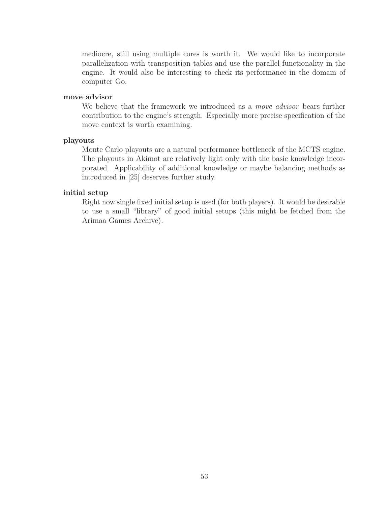mediocre, still using multiple cores is worth it. We would like to incorporate parallelization with transposition tables and use the parallel functionality in the engine. It would also be interesting to check its performance in the domain of computer Go.

#### move advisor

We believe that the framework we introduced as a *move advisor* bears further contribution to the engine's strength. Especially more precise specification of the move context is worth examining.

#### playouts

Monte Carlo playouts are a natural performance bottleneck of the MCTS engine. The playouts in Akimot are relatively light only with the basic knowledge incorporated. Applicability of additional knowledge or maybe balancing methods as introduced in [25] deserves further study.

#### initial setup

Right now single fixed initial setup is used (for both players). It would be desirable to use a small "library" of good initial setups (this might be fetched from the Arimaa Games Archive).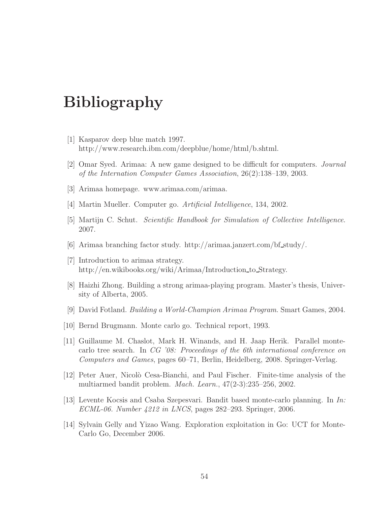## Bibliography

- [1] Kasparov deep blue match 1997. http://www.research.ibm.com/deepblue/home/html/b.shtml.
- [2] Omar Syed. Arimaa: A new game designed to be difficult for computers. *Journal of the Internation Computer Games Association*, 26(2):138–139, 2003.
- [3] Arimaa homepage. www.arimaa.com/arimaa.
- [4] Martin Mueller. Computer go. *Artificial Intelligence*, 134, 2002.
- [5] Martijn C. Schut. *Scientific Handbook for Simulation of Collective Intelligence*. 2007.
- [6] Arimaa branching factor study. http://arimaa.janzert.com/bf study/.
- [7] Introduction to arimaa strategy. http://en.wikibooks.org/wiki/Arimaa/Introduction\_to\_Strategy.
- [8] Haizhi Zhong. Building a strong arimaa-playing program. Master's thesis, University of Alberta, 2005.
- [9] David Fotland. *Building a World-Champion Arimaa Program*. Smart Games, 2004.
- [10] Bernd Brugmann. Monte carlo go. Technical report, 1993.
- [11] Guillaume M. Chaslot, Mark H. Winands, and H. Jaap Herik. Parallel montecarlo tree search. In *CG '08: Proceedings of the 6th international conference on Computers and Games*, pages 60–71, Berlin, Heidelberg, 2008. Springer-Verlag.
- [12] Peter Auer, Nicolò Cesa-Bianchi, and Paul Fischer. Finite-time analysis of the multiarmed bandit problem. *Mach. Learn.*, 47(2-3):235–256, 2002.
- [13] Levente Kocsis and Csaba Szepesvari. Bandit based monte-carlo planning. In *In: ECML-06. Number 4212 in LNCS*, pages 282–293. Springer, 2006.
- [14] Sylvain Gelly and Yizao Wang. Exploration exploitation in Go: UCT for Monte-Carlo Go, December 2006.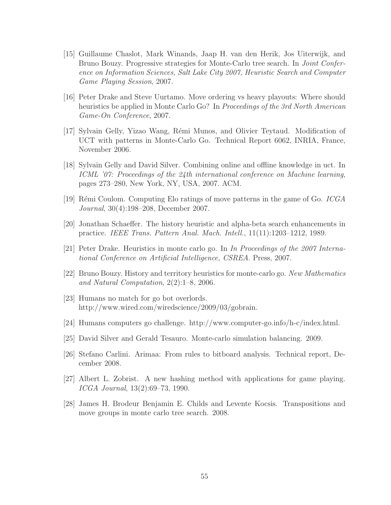- [15] Guillaume Chaslot, Mark Winands, Jaap H. van den Herik, Jos Uiterwijk, and Bruno Bouzy. Progressive strategies for Monte-Carlo tree search. In *Joint Conference on Information Sciences, Salt Lake City 2007, Heuristic Search and Computer Game Playing Session*, 2007.
- [16] Peter Drake and Steve Uurtamo. Move ordering vs heavy playouts: Where should heuristics be applied in Monte Carlo Go? In *Proceedings of the 3rd North American Game-On Conference*, 2007.
- [17] Sylvain Gelly, Yizao Wang, R´emi Munos, and Olivier Teytaud. Modification of UCT with patterns in Monte-Carlo Go. Technical Report 6062, INRIA, France, November 2006.
- [18] Sylvain Gelly and David Silver. Combining online and offline knowledge in uct. In *ICML '07: Proceedings of the 24th international conference on Machine learning*, pages 273–280, New York, NY, USA, 2007. ACM.
- [19] R´emi Coulom. Computing Elo ratings of move patterns in the game of Go. *ICGA Journal*, 30(4):198–208, December 2007.
- [20] Jonathan Schaeffer. The history heuristic and alpha-beta search enhancements in practice. *IEEE Trans. Pattern Anal. Mach. Intell.*, 11(11):1203–1212, 1989.
- [21] Peter Drake. Heuristics in monte carlo go. In *In Proceedings of the 2007 International Conference on Artificial Intelligence, CSREA*. Press, 2007.
- [22] Bruno Bouzy. History and territory heuristics for monte-carlo go. *New Mathematics and Natural Computation*, 2(2):1–8, 2006.
- [23] Humans no match for go bot overlords. http://www.wired.com/wiredscience/2009/03/gobrain.
- [24] Humans computers go challenge. http://www.computer-go.info/h-c/index.html.
- [25] David Silver and Gerald Tesauro. Monte-carlo simulation balancing. 2009.
- [26] Stefano Carlini. Arimaa: From rules to bitboard analysis. Technical report, December 2008.
- [27] Albert L. Zobrist. A new hashing method with applications for game playing. *ICGA Journal*, 13(2):69–73, 1990.
- [28] James H. Brodeur Benjamin E. Childs and Levente Kocsis. Transpositions and move groups in monte carlo tree search. 2008.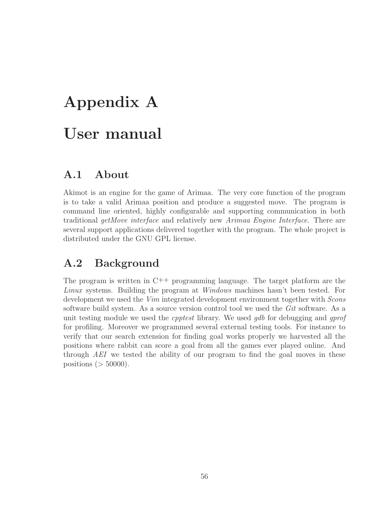# Appendix A User manual

## A.1 About

Akimot is an engine for the game of Arimaa. The very core function of the program is to take a valid Arimaa position and produce a suggested move. The program is command line oriented, highly configurable and supporting communication in both traditional *getMove interface* and relatively new *Arimaa Engine Interface*. There are several support applications delivered together with the program. The whole project is distributed under the GNU GPL license.

## A.2 Background

The program is written in C++ programming language. The target platform are the *Linux* systems. Building the program at *Windows* machines hasn't been tested. For development we used the *Vim* integrated development environment together with *Scons* software build system. As a source version control tool we used the *Git* software. As a unit testing module we used the *cpptest* library. We used *gdb* for debugging and *gprof* for profiling. Moreover we programmed several external testing tools. For instance to verify that our search extension for finding goal works properly we harvested all the positions where rabbit can score a goal from all the games ever played online. And through *AEI* we tested the ability of our program to find the goal moves in these positions ( $>$  50000).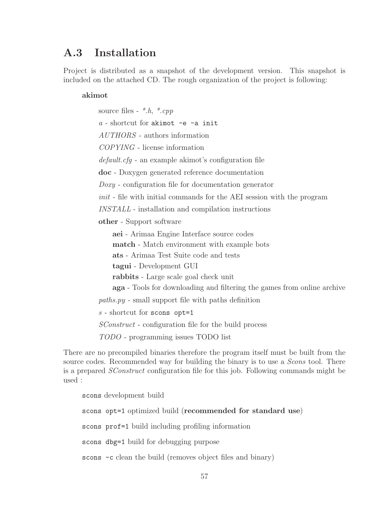## A.3 Installation

Project is distributed as a snapshot of the development version. This snapshot is included on the attached CD. The rough organization of the project is following:

#### akimot

source files - *\*.h*, *\*.cpp a* - shortcut for akimot -e -a init *AUTHORS* - authors information *COPYING* - license information *default.cfg* - an example akimot's configuration file doc - Doxygen generated reference documentation *Doxy* - configuration file for documentation generator *init* - file with initial commands for the AEI session with the program *INSTALL* - installation and compilation instructions other - Support software aei - Arimaa Engine Interface source codes match - Match environment with example bots ats - Arimaa Test Suite code and tests tagui - Development GUI rabbits - Large scale goal check unit aga - Tools for downloading and filtering the games from online archive *paths.py* - small support file with paths definition *s* - shortcut for scons opt=1 *SConstruct* - configuration file for the build process *TODO* - programming issues TODO list

There are no precompiled binaries therefore the program itself must be built from the source codes. Recommended way for building the binary is to use a *Scons* tool. There is a prepared *SConstruct* configuration file for this job. Following commands might be used :

scons development build

scons opt=1 optimized build (recommended for standard use) scons prof=1 build including profiling information scons dbg=1 build for debugging purpose scons -c clean the build (removes object files and binary)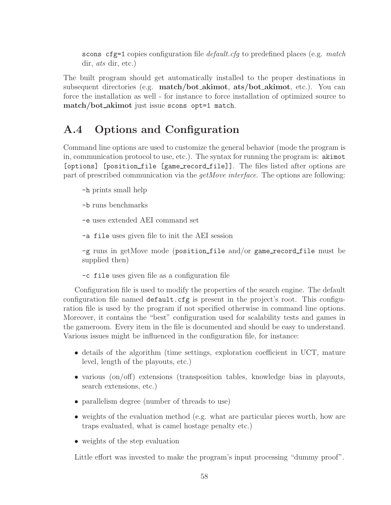scons cfg=1 copies configuration file *default.cfg* to predefined places (e.g. *match* dir, *ats* dir, etc.)

The built program should get automatically installed to the proper destinations in subsequent directories (e.g. match/bot akimot, ats/bot akimot, etc.). You can force the installation as well - for instance to force installation of optimized source to match/bot\_akimot just issue scons opt=1 match.

## A.4 Options and Configuration

Command line options are used to customize the general behavior (mode the program is in, communication protocol to use, etc.). The syntax for running the program is: akimot [options] [position file [game record file]]. The files listed after options are part of prescribed communication via the *getMove interface*. The options are following:

-h prints small help

- -b runs benchmarks
- -e uses extended AEI command set
- -a file uses given file to init the AEI session

 $-g$  runs in getMove mode (position file and/or game record file must be supplied then)

-c file uses given file as a configuration file

Configuration file is used to modify the properties of the search engine. The default configuration file named default.cfg is present in the project's root. This configuration file is used by the program if not specified otherwise in command line options. Moreover, it contains the "best" configuration used for scalability tests and games in the gameroom. Every item in the file is documented and should be easy to understand. Various issues might be influenced in the configuration file, for instance:

- details of the algorithm (time settings, exploration coefficient in UCT, mature level, length of the playouts, etc.)
- various (on/off) extensions (transposition tables, knowledge bias in playouts, search extensions, etc.)
- parallelism degree (number of threads to use)
- weights of the evaluation method (e.g. what are particular pieces worth, how are traps evaluated, what is camel hostage penalty etc.)
- weights of the step evaluation

Little effort was invested to make the program's input processing "dummy proof".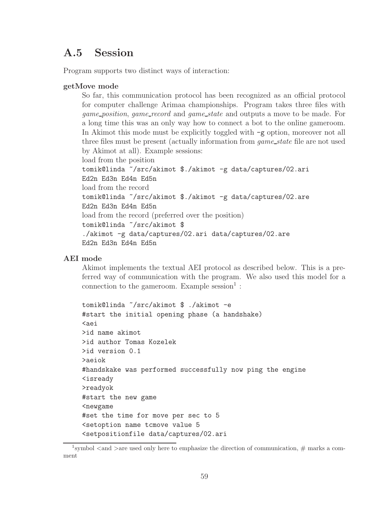## A.5 Session

Program supports two distinct ways of interaction:

### getMove mode

So far, this communication protocol has been recognized as an official protocol for computer challenge Arimaa championships. Program takes three files with *game position*, *game record* and *game state* and outputs a move to be made. For a long time this was an only way how to connect a bot to the online gameroom. In Akimot this mode must be explicitly toggled with  $-g$  option, moreover not all three files must be present (actually information from *game state* file are not used by Akimot at all). Example sessions: load from the position tomik@linda ~/src/akimot \$./akimot -g data/captures/02.ari Ed2n Ed3n Ed4n Ed5n load from the record tomik@linda ~/src/akimot \$./akimot -g data/captures/02.are Ed2n Ed3n Ed4n Ed5n

load from the record (preferred over the position) tomik@linda ~/src/akimot \$ ./akimot -g data/captures/02.ari data/captures/02.are Ed2n Ed3n Ed4n Ed5n

### AEI mode

Akimot implements the textual AEI protocol as described below. This is a preferred way of communication with the program. We also used this model for a connection to the gameroom. Example session<sup>1</sup>:

```
tomik@linda ~/src/akimot $ ./akimot -e
#start the initial opening phase (a handshake)
<aei
>id name akimot
>id author Tomas Kozelek
>id version 0.1
>aeiok
#handskake was performed successfully now ping the engine
<isready
>readyok
#start the new game
<newgame
#set the time for move per sec to 5
<setoption name tcmove value 5
<setpositionfile data/captures/02.ari
```
<sup>&</sup>lt;sup>1</sup>symbol  $\lt$  and  $\gt$  are used only here to emphasize the direction of communication,  $\#$  marks a comment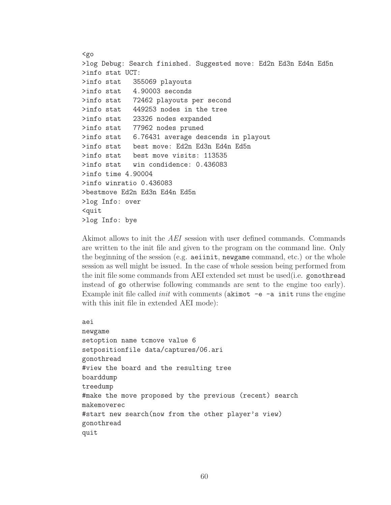```
\zetago
>log Debug: Search finished. Suggested move: Ed2n Ed3n Ed4n Ed5n
>info stat UCT:
>info stat 355069 playouts
>info stat 4.90003 seconds
>info stat 72462 playouts per second
>info stat 449253 nodes in the tree
>info stat 23326 nodes expanded
>info stat 77962 nodes pruned
>info stat 6.76431 average descends in playout
>info stat best move: Ed2n Ed3n Ed4n Ed5n
>info stat best move visits: 113535
>info stat win condidence: 0.436083
>info time 4.90004
>info winratio 0.436083
>bestmove Ed2n Ed3n Ed4n Ed5n
>log Info: over
<quit
>log Info: bye
```
Akimot allows to init the *AEI* session with user defined commands. Commands are written to the init file and given to the program on the command line. Only the beginning of the session (e.g. aeiinit, newgame command, etc.) or the whole session as well might be issued. In the case of whole session being performed from the init file some commands from AEI extended set must be used(i.e. gonothread instead of go otherwise following commands are sent to the engine too early). Example init file called *init* with comments ( $\alpha$ kimot  $-e$  - $\alpha$  init runs the engine with this init file in extended AEI mode):

```
aei
newgame
setoption name tcmove value 6
setpositionfile data/captures/06.ari
gonothread
#view the board and the resulting tree
boarddump
treedump
#make the move proposed by the previous (recent) search
makemoverec
#start new search(now from the other player's view)
gonothread
quit
```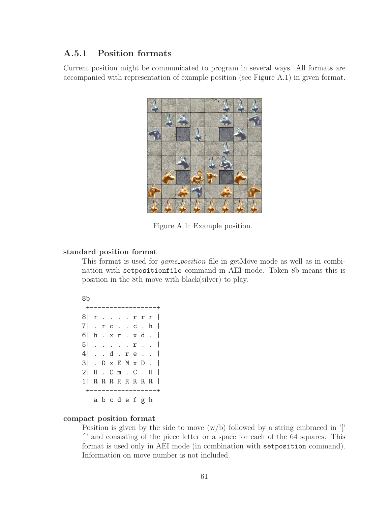## A.5.1 Position formats

Current position might be communicated to program in several ways. All formats are accompanied with representation of example position (see Figure A.1) in given format.



Figure A.1: Example position.

#### standard position format

This format is used for *game position* file in getMove mode as well as in combination with setpositionfile command in AEI mode. Token 8b means this is position in the 8th move with black(silver) to play.

```
8b
```

| +------------       |          |  |  |  |  |
|---------------------|----------|--|--|--|--|
| 8   r r r r         |          |  |  |  |  |
| 7   . r c c . h     |          |  |  |  |  |
| 6   h. xr. xd.      |          |  |  |  |  |
| 5   r               |          |  |  |  |  |
| 4   d . r e         |          |  |  |  |  |
| 3  .D x E M x D .   |          |  |  |  |  |
| 2   H . C m . C . H |          |  |  |  |  |
| 1   R R R R R R R R |          |  |  |  |  |
| -+-------------     |          |  |  |  |  |
|                     | abcdefgh |  |  |  |  |

#### compact position format

Position is given by the side to move  $(w/b)$  followed by a string embraced in '[' ']' and consisting of the piece letter or a space for each of the 64 squares. This format is used only in AEI mode (in combination with setposition command). Information on move number is not included.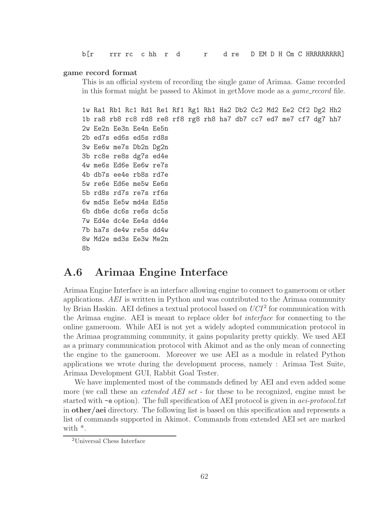b[r rrr rc c hh r d r d re D EM D H Cm C HRRRRRRRRR]

#### game record format

This is an official system of recording the single game of Arimaa. Game recorded in this format might be passed to Akimot in getMove mode as a *game record* file.

1w Ra1 Rb1 Rc1 Rd1 Re1 Rf1 Rg1 Rh1 Ha2 Db2 Cc2 Md2 Ee2 Cf2 Dg2 Hh2 1b ra8 rb8 rc8 rd8 re8 rf8 rg8 rh8 ha7 db7 cc7 ed7 me7 cf7 dg7 hh7 2w Ee2n Ee3n Ee4n Ee5n 2b ed7s ed6s ed5s rd8s 3w Ee6w me7s Db2n Dg2n 3b rc8e re8s dg7s ed4e 4w me6s Ed6e Ee6w re7s 4b db7s ee4e rb8s rd7e 5w re6e Ed6e me5w Ee6s 5b rd8s rd7s re7s rf6s 6w md5s Ee5w md4s Ed5s 6b db6e dc6s re6s dc5s 7w Ed4e dc4e Ee4s dd4e 7b ha7s de4w re5s dd4w 8w Md2e md3s Ee3w Me2n 8b

## A.6 Arimaa Engine Interface

Arimaa Engine Interface is an interface allowing engine to connect to gameroom or other applications. *AEI* is written in Python and was contributed to the Arimaa community by Brian Haskin. AEI defines a textual protocol based on  $UCI<sup>2</sup>$  for communication with the Arimaa engine. AEI is meant to replace older *bot interface* for connecting to the online gameroom. While AEI is not yet a widely adopted communication protocol in the Arimaa programming community, it gains popularity pretty quickly. We used AEI as a primary communication protocol with Akimot and as the only mean of connecting the engine to the gameroom. Moreover we use AEI as a module in related Python applications we wrote during the development process, namely : Arimaa Test Suite, Arimaa Development GUI, Rabbit Goal Tester.

We have implemented most of the commands defined by AEI and even added some more (we call these an *extended AEI set* - for these to be recognized, engine must be started with -e option). The full specification of AEI protocol is given in *aei-protocol.txt* in other/aei directory. The following list is based on this specification and represents a list of commands supported in Akimot. Commands from extended AEI set are marked with \*.

<sup>2</sup>Universal Chess Interface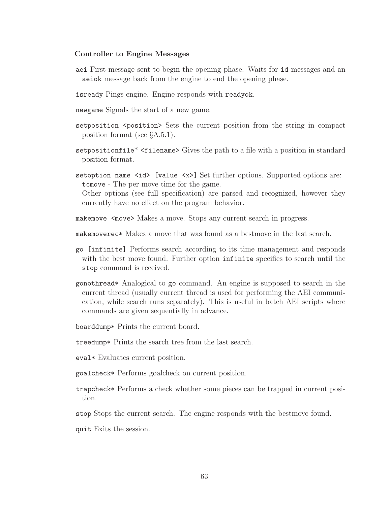#### Controller to Engine Messages

- aei First message sent to begin the opening phase. Waits for id messages and an aeiok message back from the engine to end the opening phase.
- isready Pings engine. Engine responds with readyok.
- newgame Signals the start of a new game.
- setposition <position> Sets the current position from the string in compact position format (see §A.5.1).
- setpositionfile\* <filename> Gives the path to a file with a position in standard position format.
- setoption name  $\langle id \rangle$  [value  $\langle x \rangle$ ] Set further options. Supported options are: tcmove - The per move time for the game.

Other options (see full specification) are parsed and recognized, however they currently have no effect on the program behavior.

- makemove  $\leq$  move > Makes a move. Stops any current search in progress.
- makemoverec\* Makes a move that was found as a bestmove in the last search.
- go [infinite] Performs search according to its time management and responds with the best move found. Further option infinite specifies to search until the stop command is received.
- gonothread\* Analogical to go command. An engine is supposed to search in the current thread (usually current thread is used for performing the AEI communication, while search runs separately). This is useful in batch AEI scripts where commands are given sequentially in advance.
- boarddump\* Prints the current board.
- treedump\* Prints the search tree from the last search.
- eval\* Evaluates current position.
- goalcheck\* Performs goalcheck on current position.
- trapcheck\* Performs a check whether some pieces can be trapped in current position.
- stop Stops the current search. The engine responds with the bestmove found.
- quit Exits the session.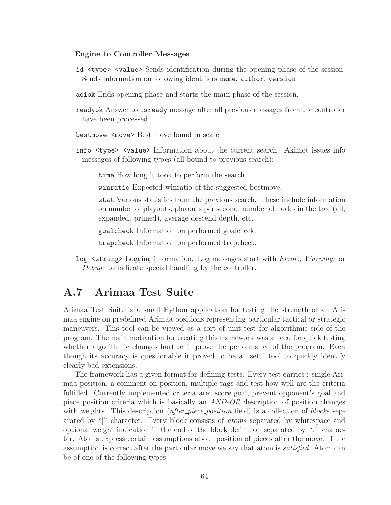#### Engine to Controller Messages

- id <type> <value> Sends identification during the opening phase of the session. Sends information on following identifiers name, author, version
- aeiok Ends opening phase and starts the main phase of the session.
- readyok Answer to isready message after all previous messages from the controller have been processed.
- bestmove <move> Best move found in search
- info <type> <value> Information about the current search. Akimot issues info messages of following types (all bound to previous search):

time How long it took to perform the search.

winratio Expected winratio of the suggested bestmove.

stat Various statistics from the previous search. These include information on number of playouts, playouts per second, number of nodes in the tree (all, expanded, pruned), average descend depth, etc.

goalcheck Information on performed goalcheck.

trapcheck Information on performed trapcheck.

log <string> Logging information. Log messages start with *Error:*, *Warning:* or *Debug:* to indicate special handling by the controller.

## A.7 Arimaa Test Suite

Arimaa Test Suite is a small Python application for testing the strength of an Arimaa engine on predefined Arimaa positions representing particular tactical or strategic maneuvers. This tool can be viewed as a sort of unit test for algorithmic side of the program. The main motivation for creating this framework was a need for quick testing whether algorithmic changes hurt or improve the performance of the program. Even though its accuracy is questionable it proved to be a useful tool to quickly identify clearly bad extensions.

The framework has a given format for defining tests. Every test carries : single Arimaa position, a comment on position, multiple tags and test how well are the criteria fulfilled. Currently implemented criteria are: score goal, prevent opponent's goal and piece position criteria which is basically an *AND-OR* description of position changes with weights. This description (*after piece position* field) is a collection of *blocks* separated by "|" character. Every block consists of *atoms* separated by whitespace and optional weight indication in the end of the block definition separated by ":" character. Atoms express certain assumptions about position of pieces after the move. If the assumption is correct after the particular move we say that atom is *satisfied*. Atom can be of one of the following types: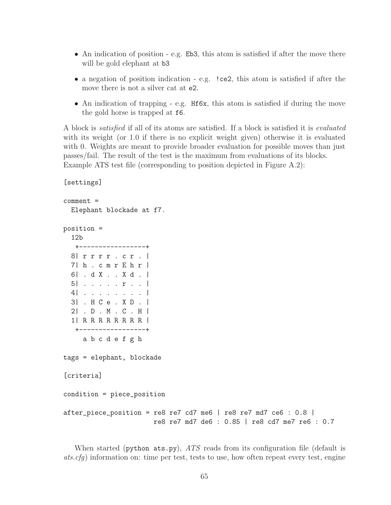- An indication of position e.g. Eb3, this atom is satisfied if after the move there will be gold elephant at b3
- a negation of position indication e.g. ! ce2, this atom is satisfied if after the move there is not a silver cat at e2.
- An indication of trapping e.g. Hf6x, this atom is satisfied if during the move the gold horse is trapped at f6.

A block is *satisfied* if all of its atoms are satisfied. If a block is satisfied it is *evaluated* with its weight (or 1.0 if there is no explicit weight given) otherwise it is evaluated with 0. Weights are meant to provide broader evaluation for possible moves than just passes/fail. The result of the test is the maximum from evaluations of its blocks. Example ATS test file (corresponding to position depicted in Figure A.2):

comment = Elephant blockade at f7. position = 12b +-----------------+ 8| r r r r . c r . | 7| h . c m r E h r | 6| . d X . . X d . | 5| . . . . . r . . | 4| . . . . . . . . | 3| . H C e . X D . | 2| . D . M . C . H | 1| R R R R R R R R | +-----------------+ a b c d e f g h tags = elephant, blockade [criteria] condition = piece\_position after\_piece\_position = re8 re7 cd7 me6 | re8 re7 md7 ce6 : 0.8 | re8 re7 md7 de6 : 0.85 | re8 cd7 me7 re6 : 0.7

[settings]

When started (python ats.py), *ATS* reads from its configuration file (default is *ats.cfg*) information on: time per test, tests to use, how often repeat every test, engine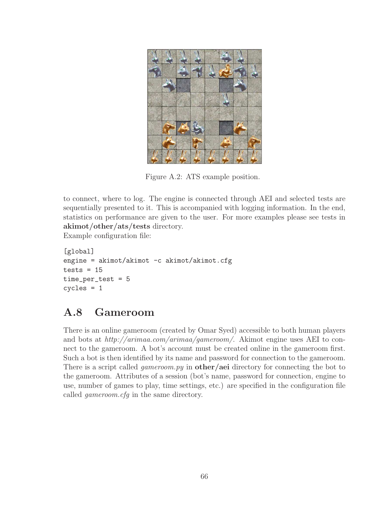

Figure A.2: ATS example position.

to connect, where to log. The engine is connected through AEI and selected tests are sequentially presented to it. This is accompanied with logging information. In the end, statistics on performance are given to the user. For more examples please see tests in akimot/other/ats/tests directory.

Example configuration file:

```
[global]
engine = akimot/akimot -c akimot/akimot.cfgtests = 15time_per_test = 5
cycles = 1
```
## A.8 Gameroom

There is an online gameroom (created by Omar Syed) accessible to both human players and bots at *http://arimaa.com/arimaa/gameroom/*. Akimot engine uses AEI to connect to the gameroom. A bot's account must be created online in the gameroom first. Such a bot is then identified by its name and password for connection to the gameroom. There is a script called *gameroom.py* in **other/aei** directory for connecting the bot to the gameroom. Attributes of a session (bot's name, password for connection, engine to use, number of games to play, time settings, etc.) are specified in the configuration file called *gameroom.cfg* in the same directory.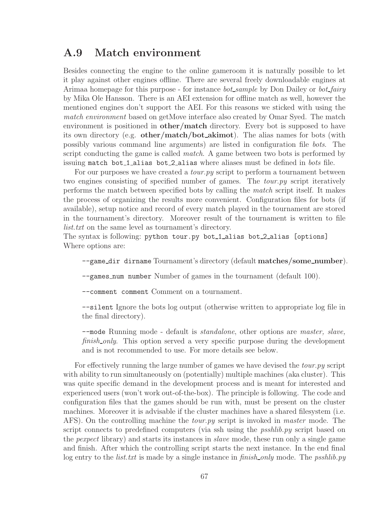## A.9 Match environment

Besides connecting the engine to the online gameroom it is naturally possible to let it play against other engines offline. There are several freely downloadable engines at Arimaa homepage for this purpose - for instance *bot sample* by Don Dailey or *bot fairy* by Mika Ole Hansson. There is an AEI extension for offline match as well, however the mentioned engines don't support the AEI. For this reasons we sticked with using the *match environment* based on getMove interface also created by Omar Syed. The match environment is positioned in **other/match** directory. Every bot is supposed to have its own directory (e.g. other/match/bot akimot). The alias names for bots (with possibly various command line arguments) are listed in configuration file *bots*. The script conducting the game is called *match*. A game between two bots is performed by issuing match bot 1 alias bot 2 alias where aliases must be defined in *bots* file.

For our purposes we have created a *tour.py* script to perform a tournament between two engines consisting of specified number of games. The *tour.py* script iteratively performs the match between specified bots by calling the *match* script itself. It makes the process of organizing the results more convenient. Configuration files for bots (if available), setup notice and record of every match played in the tournament are stored in the tournament's directory. Moreover result of the tournament is written to file *list.txt* on the same level as tournament's directory.

The syntax is following: python tour.py bot\_1\_alias bot\_2\_alias [options] Where options are:

--game\_dir dirname Tournament's directory (default matches/some\_number).

--games num number Number of games in the tournament (default 100).

--comment comment Comment on a tournament.

--silent Ignore the bots log output (otherwise written to appropriate log file in the final directory).

--mode Running mode - default is *standalone*, other options are *master, slave, finish\_only*. This option served a very specific purpose during the development and is not recommended to use. For more details see below.

For effectively running the large number of games we have devised the *tour.py* script with ability to run simultaneously on (potentially) multiple machines (aka cluster). This was quite specific demand in the development process and is meant for interested and experienced users (won't work out-of-the-box). The principle is following. The code and configuration files that the games should be run with, must be present on the cluster machines. Moreover it is advisable if the cluster machines have a shared filesystem (i.e. AFS). On the controlling machine the *tour.py* script is invoked in *master* mode. The script connects to predefined computers (via ssh using the *psshlib.py* script based on the *pexpect* library) and starts its instances in *slave* mode, these run only a single game and finish. After which the controlling script starts the next instance. In the end final log entry to the *list.txt* is made by a single instance in *finish only* mode. The *psshlib.py*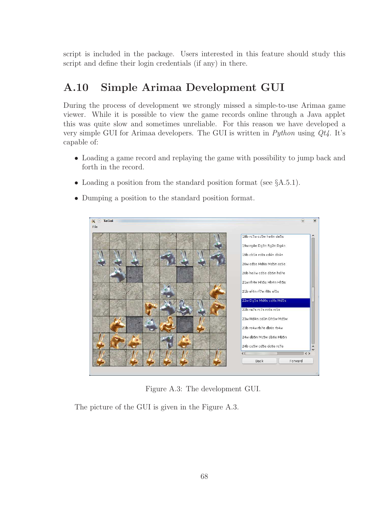script is included in the package. Users interested in this feature should study this script and define their login credentials (if any) in there.

## A.10 Simple Arimaa Development GUI

During the process of development we strongly missed a simple-to-use Arimaa game viewer. While it is possible to view the game records online through a Java applet this was quite slow and sometimes unreliable. For this reason we have developed a very simple GUI for Arimaa developers. The GUI is written in *Python* using *Qt4*. It's capable of:

- Loading a game record and replaying the game with possibility to jump back and forth in the record.
- Loading a position from the standard position format (see  $\S$ A.5.1).
- Dumping a position to the standard position format.



Figure A.3: The development GUI.

The picture of the GUI is given in the Figure A.3.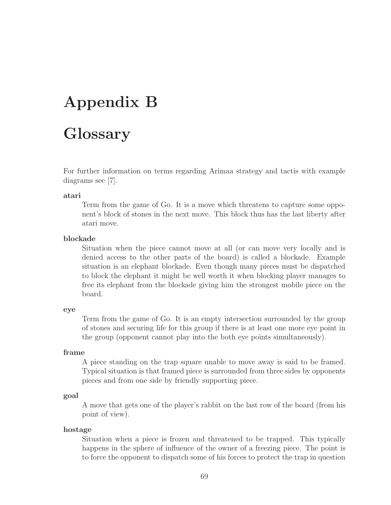## Appendix B

## Glossary

For further information on terms regarding Arimaa strategy and tactis with example diagrams see [7].

#### atari

Term from the game of Go. It is a move which threatens to capture some opponent's block of stones in the next move. This block thus has the last liberty after atari move.

#### blockade

Situation when the piece cannot move at all (or can move very locally and is denied access to the other parts of the board) is called a blockade. Example situation is an elephant blockade. Even though many pieces must be dispatched to block the elephant it might be well worth it when blocking player manages to free its elephant from the blockade giving him the strongest mobile piece on the board.

#### eye

Term from the game of Go. It is an empty intersection surrounded by the group of stones and securing life for this group if there is at least one more eye point in the group (opponent cannot play into the both eye points simultaneously).

#### frame

A piece standing on the trap square unable to move away is said to be framed. Typical situation is that framed piece is surrounded from three sides by opponents pieces and from one side by friendly supporting piece.

#### goal

A move that gets one of the player's rabbit on the last row of the board (from his point of view).

#### hostage

Situation when a piece is frozen and threatened to be trapped. This typically happens in the sphere of influence of the owner of a freezing piece. The point is to force the opponent to dispatch some of his forces to protect the trap in question